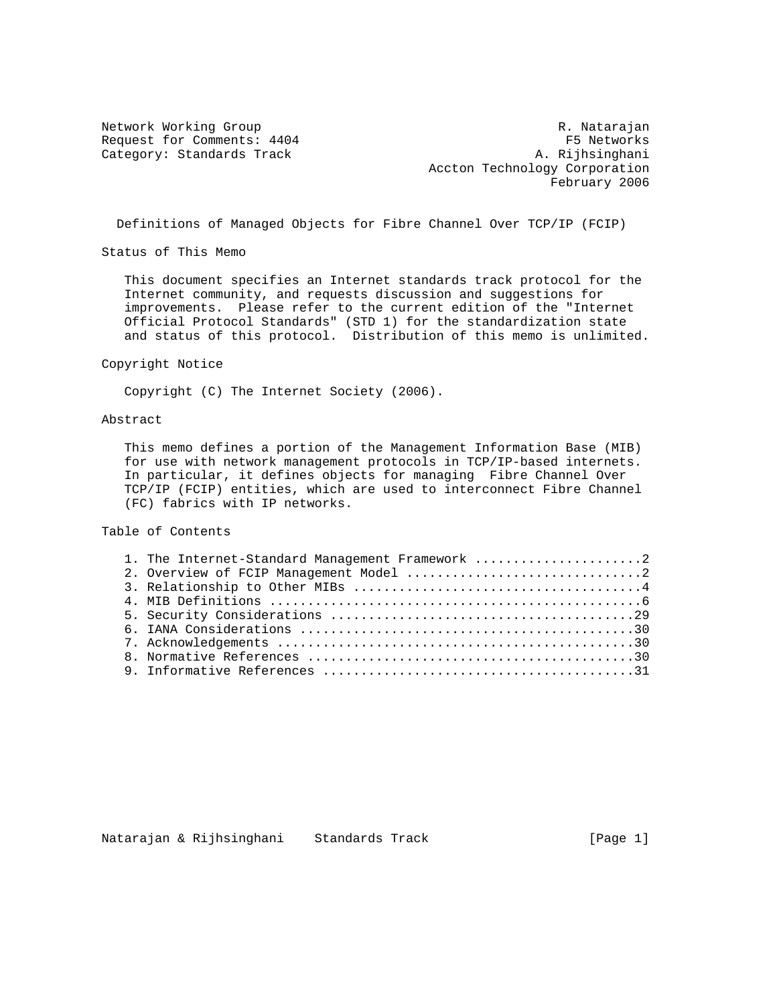Network Working Group **R. Natarajan** R. Natarajan Request for Comments: 4404 F5 Networks Category: Standards Track A. Rijhsinghani Accton Technology Corporation February 2006

Definitions of Managed Objects for Fibre Channel Over TCP/IP (FCIP)

Status of This Memo

 This document specifies an Internet standards track protocol for the Internet community, and requests discussion and suggestions for improvements. Please refer to the current edition of the "Internet Official Protocol Standards" (STD 1) for the standardization state and status of this protocol. Distribution of this memo is unlimited.

Copyright Notice

Copyright (C) The Internet Society (2006).

# Abstract

 This memo defines a portion of the Management Information Base (MIB) for use with network management protocols in TCP/IP-based internets. In particular, it defines objects for managing Fibre Channel Over TCP/IP (FCIP) entities, which are used to interconnect Fibre Channel (FC) fabrics with IP networks.

Table of Contents

| 1. The Internet-Standard Management Framework 2 |  |
|-------------------------------------------------|--|
|                                                 |  |
|                                                 |  |
|                                                 |  |
|                                                 |  |
|                                                 |  |
|                                                 |  |
|                                                 |  |
|                                                 |  |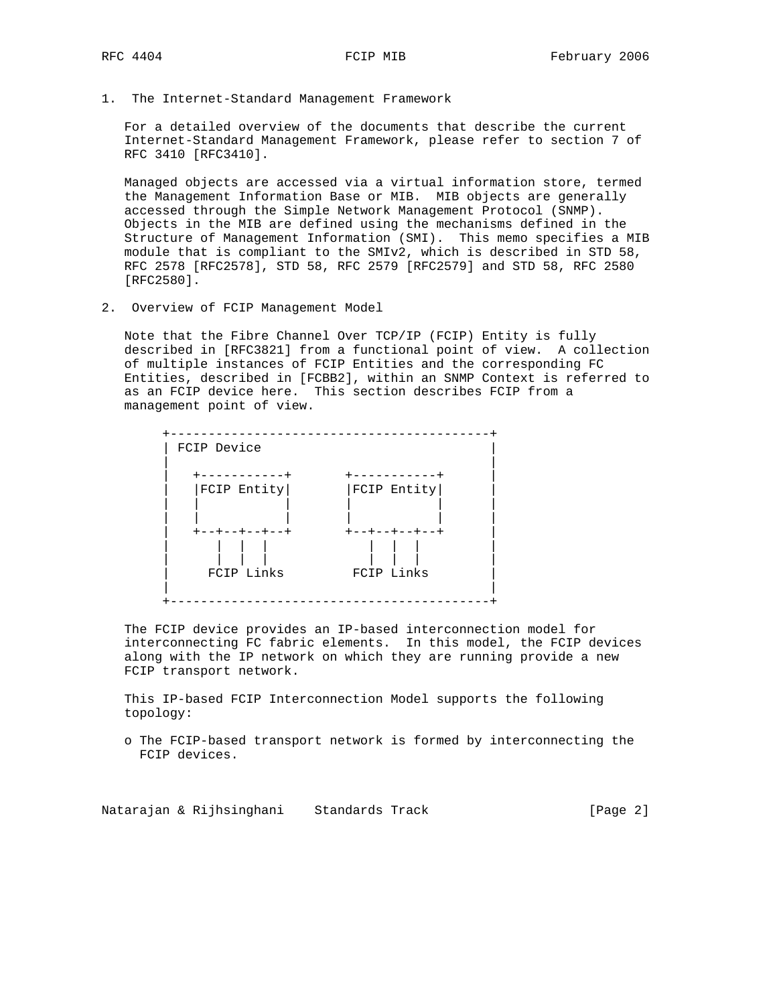1. The Internet-Standard Management Framework

 For a detailed overview of the documents that describe the current Internet-Standard Management Framework, please refer to section 7 of RFC 3410 [RFC3410].

 Managed objects are accessed via a virtual information store, termed the Management Information Base or MIB. MIB objects are generally accessed through the Simple Network Management Protocol (SNMP). Objects in the MIB are defined using the mechanisms defined in the Structure of Management Information (SMI). This memo specifies a MIB module that is compliant to the SMIv2, which is described in STD 58, RFC 2578 [RFC2578], STD 58, RFC 2579 [RFC2579] and STD 58, RFC 2580 [RFC2580].

2. Overview of FCIP Management Model

 Note that the Fibre Channel Over TCP/IP (FCIP) Entity is fully described in [RFC3821] from a functional point of view. A collection of multiple instances of FCIP Entities and the corresponding FC Entities, described in [FCBB2], within an SNMP Context is referred to as an FCIP device here. This section describes FCIP from a management point of view.



 The FCIP device provides an IP-based interconnection model for interconnecting FC fabric elements. In this model, the FCIP devices along with the IP network on which they are running provide a new FCIP transport network.

 This IP-based FCIP Interconnection Model supports the following topology:

 o The FCIP-based transport network is formed by interconnecting the FCIP devices.

Natarajan & Rijhsinghani Standards Track Track [Page 2]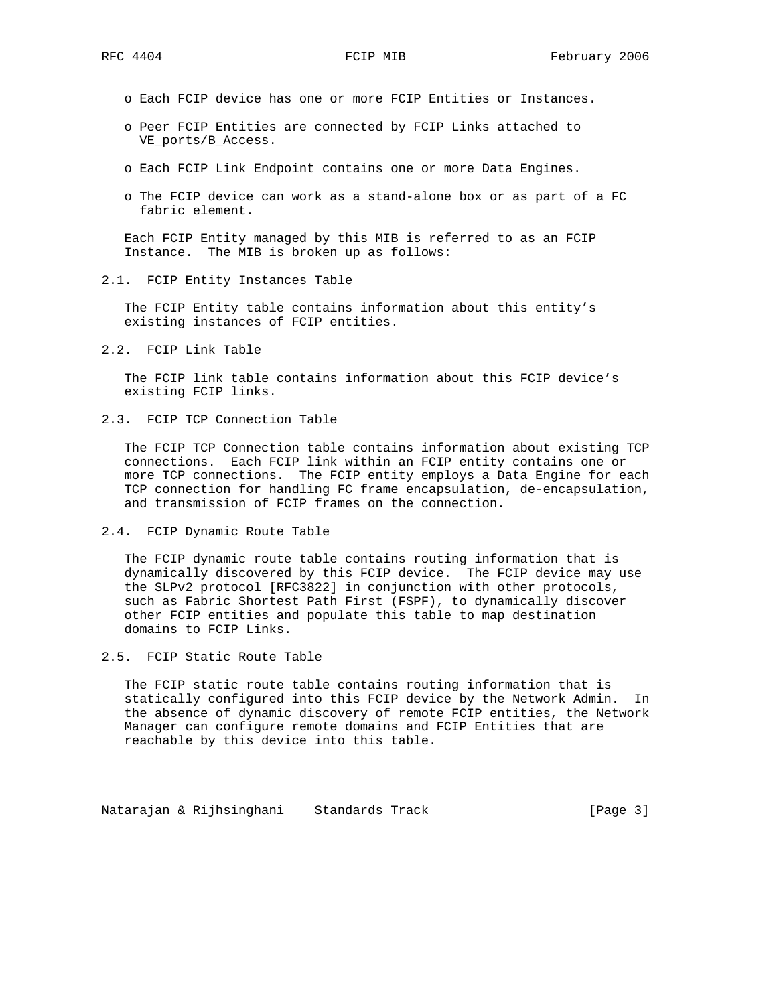- o Each FCIP device has one or more FCIP Entities or Instances.
- o Peer FCIP Entities are connected by FCIP Links attached to VE ports/B Access.
- o Each FCIP Link Endpoint contains one or more Data Engines.
- o The FCIP device can work as a stand-alone box or as part of a FC fabric element.

 Each FCIP Entity managed by this MIB is referred to as an FCIP Instance. The MIB is broken up as follows:

2.1. FCIP Entity Instances Table

 The FCIP Entity table contains information about this entity's existing instances of FCIP entities.

2.2. FCIP Link Table

 The FCIP link table contains information about this FCIP device's existing FCIP links.

2.3. FCIP TCP Connection Table

 The FCIP TCP Connection table contains information about existing TCP connections. Each FCIP link within an FCIP entity contains one or more TCP connections. The FCIP entity employs a Data Engine for each TCP connection for handling FC frame encapsulation, de-encapsulation, and transmission of FCIP frames on the connection.

2.4. FCIP Dynamic Route Table

 The FCIP dynamic route table contains routing information that is dynamically discovered by this FCIP device. The FCIP device may use the SLPv2 protocol [RFC3822] in conjunction with other protocols, such as Fabric Shortest Path First (FSPF), to dynamically discover other FCIP entities and populate this table to map destination domains to FCIP Links.

2.5. FCIP Static Route Table

 The FCIP static route table contains routing information that is statically configured into this FCIP device by the Network Admin. In the absence of dynamic discovery of remote FCIP entities, the Network Manager can configure remote domains and FCIP Entities that are reachable by this device into this table.

Natarajan & Rijhsinghani Standards Track Track [Page 3]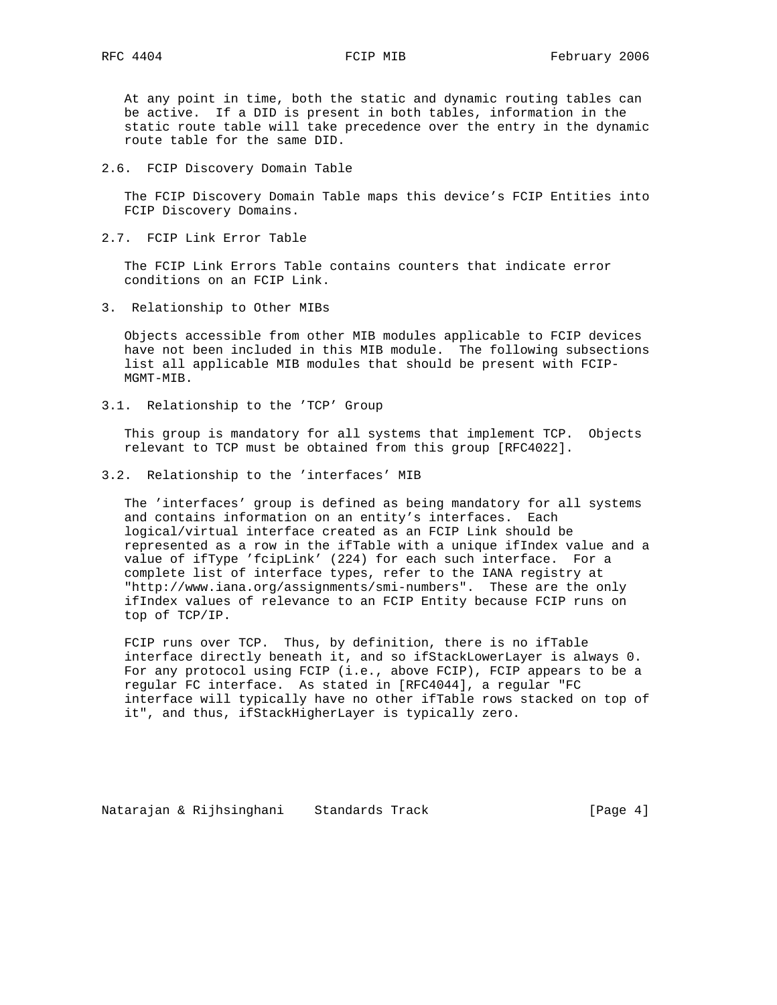At any point in time, both the static and dynamic routing tables can be active. If a DID is present in both tables, information in the static route table will take precedence over the entry in the dynamic route table for the same DID.

2.6. FCIP Discovery Domain Table

 The FCIP Discovery Domain Table maps this device's FCIP Entities into FCIP Discovery Domains.

2.7. FCIP Link Error Table

 The FCIP Link Errors Table contains counters that indicate error conditions on an FCIP Link.

3. Relationship to Other MIBs

 Objects accessible from other MIB modules applicable to FCIP devices have not been included in this MIB module. The following subsections list all applicable MIB modules that should be present with FCIP- MGMT-MIB.

3.1. Relationship to the 'TCP' Group

 This group is mandatory for all systems that implement TCP. Objects relevant to TCP must be obtained from this group [RFC4022].

3.2. Relationship to the 'interfaces' MIB

 The 'interfaces' group is defined as being mandatory for all systems and contains information on an entity's interfaces. Each logical/virtual interface created as an FCIP Link should be represented as a row in the ifTable with a unique ifIndex value and a value of ifType 'fcipLink' (224) for each such interface. For a complete list of interface types, refer to the IANA registry at "http://www.iana.org/assignments/smi-numbers". These are the only ifIndex values of relevance to an FCIP Entity because FCIP runs on top of TCP/IP.

 FCIP runs over TCP. Thus, by definition, there is no ifTable interface directly beneath it, and so ifStackLowerLayer is always 0. For any protocol using FCIP (i.e., above FCIP), FCIP appears to be a regular FC interface. As stated in [RFC4044], a regular "FC interface will typically have no other ifTable rows stacked on top of it", and thus, ifStackHigherLayer is typically zero.

Natarajan & Rijhsinghani Standards Track Track [Page 4]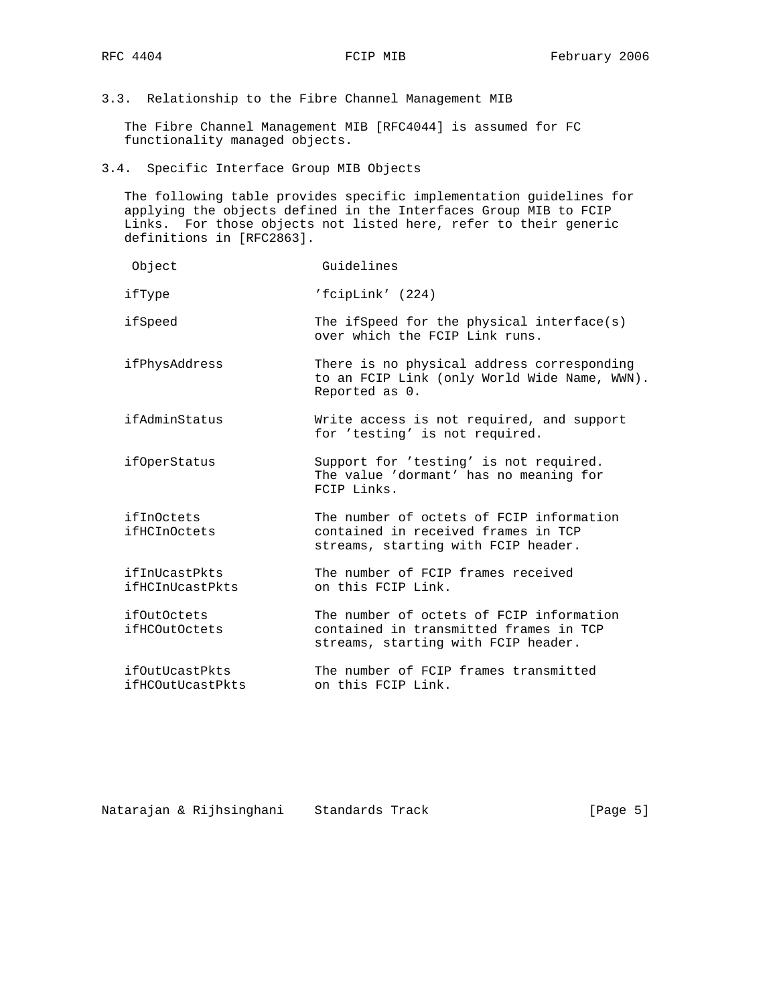3.3. Relationship to the Fibre Channel Management MIB

 The Fibre Channel Management MIB [RFC4044] is assumed for FC functionality managed objects.

3.4. Specific Interface Group MIB Objects

 The following table provides specific implementation guidelines for applying the objects defined in the Interfaces Group MIB to FCIP Links. For those objects not listed here, refer to their generic definitions in [RFC2863].

| Object                             | Guidelines                                                                                                                |
|------------------------------------|---------------------------------------------------------------------------------------------------------------------------|
| ifType                             | 'fcipLink' (224)                                                                                                          |
| ifSpeed                            | The if Speed for the physical interface(s)<br>over which the FCIP Link runs.                                              |
| ifPhysAddress                      | There is no physical address corresponding<br>to an FCIP Link (only World Wide Name, WWN).<br>Reported as 0.              |
| ifAdminStatus                      | Write access is not required, and support<br>for 'testing' is not required.                                               |
| <i>ifOperStatus</i>                | Support for 'testing' is not required.<br>The value 'dormant' has no meaning for<br>FCIP Links.                           |
| ifInOctets<br>ifHCInOctets         | The number of octets of FCIP information<br>contained in received frames in TCP<br>streams, starting with FCIP header.    |
| ifInUcastPkts<br>ifHCInUcastPkts   | The number of FCIP frames received<br>on this FCIP Link.                                                                  |
| ifOutOctets<br>ifHCOutOctets       | The number of octets of FCIP information<br>contained in transmitted frames in TCP<br>streams, starting with FCIP header. |
| ifOutUcastPkts<br>ifHCOutUcastPkts | The number of FCIP frames transmitted<br>on this FCIP Link.                                                               |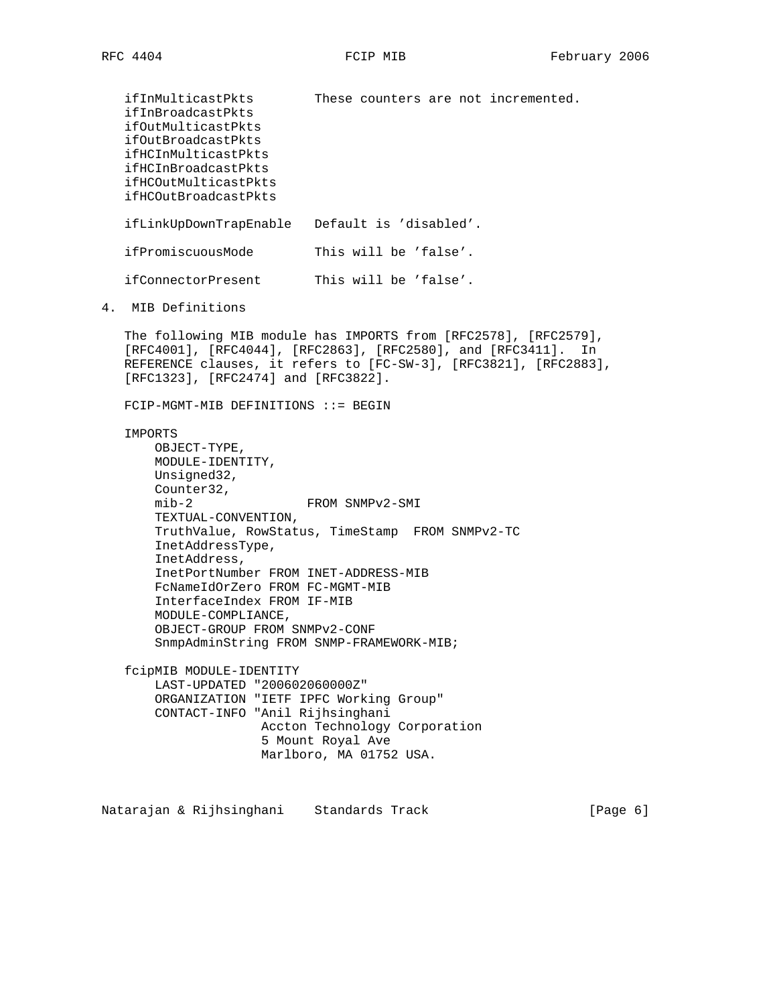ifInMulticastPkts These counters are not incremented. ifInBroadcastPkts ifOutMulticastPkts ifOutBroadcastPkts ifHCInMulticastPkts ifHCInBroadcastPkts ifHCOutMulticastPkts ifHCOutBroadcastPkts ifLinkUpDownTrapEnable Default is 'disabled'. ifPromiscuousMode This will be 'false'. ifConnectorPresent This will be 'false'. 4. MIB Definitions The following MIB module has IMPORTS from [RFC2578], [RFC2579], [RFC4001], [RFC4044], [RFC2863], [RFC2580], and [RFC3411]. In REFERENCE clauses, it refers to [FC-SW-3], [RFC3821], [RFC2883], [RFC1323], [RFC2474] and [RFC3822]. FCIP-MGMT-MIB DEFINITIONS ::= BEGIN IMPORTS OBJECT-TYPE, MODULE-IDENTITY, Unsigned32, Counter32, mib-2 FROM SNMPv2-SMI TEXTUAL-CONVENTION, TruthValue, RowStatus, TimeStamp FROM SNMPv2-TC InetAddressType, InetAddress, InetPortNumber FROM INET-ADDRESS-MIB FcNameIdOrZero FROM FC-MGMT-MIB InterfaceIndex FROM IF-MIB MODULE-COMPLIANCE, OBJECT-GROUP FROM SNMPv2-CONF SnmpAdminString FROM SNMP-FRAMEWORK-MIB; fcipMIB MODULE-IDENTITY LAST-UPDATED "200602060000Z" ORGANIZATION "IETF IPFC Working Group" CONTACT-INFO "Anil Rijhsinghani Accton Technology Corporation 5 Mount Royal Ave Marlboro, MA 01752 USA.

Natarajan & Rijhsinghani Standards Track (Page 6)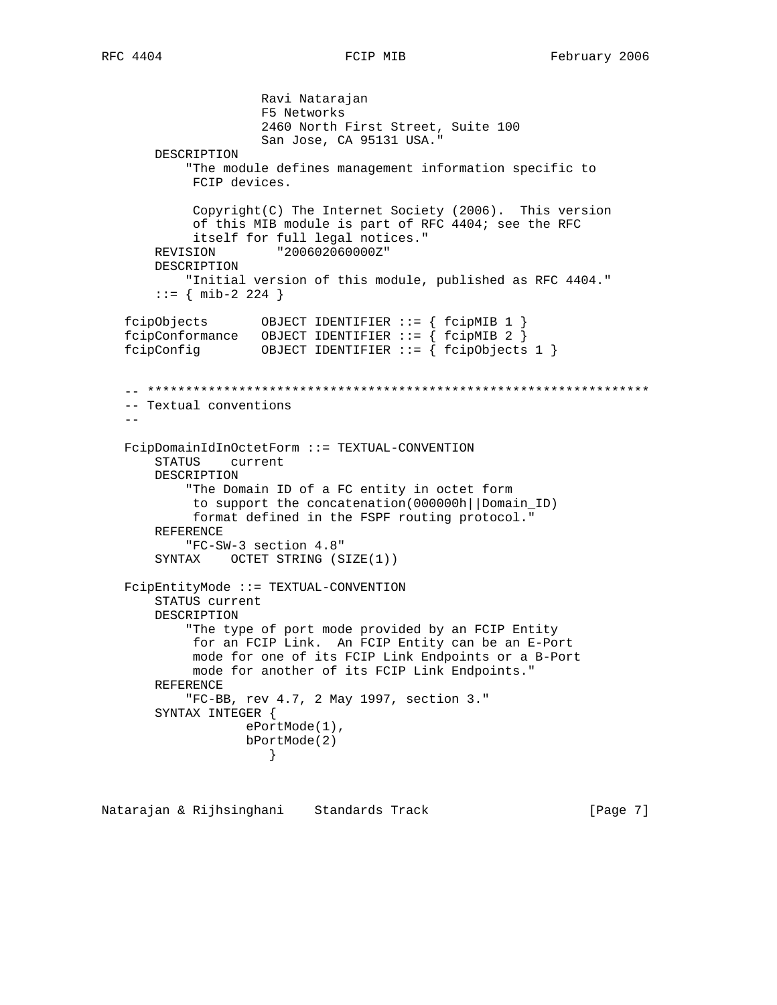```
 Ravi Natarajan
                     F5 Networks
                     2460 North First Street, Suite 100
                     San Jose, CA 95131 USA."
       DESCRIPTION
            "The module defines management information specific to
            FCIP devices.
            Copyright(C) The Internet Society (2006). This version
            of this MIB module is part of RFC 4404; see the RFC
            itself for full legal notices."
       REVISION "200602060000Z"
       DESCRIPTION
           "Initial version of this module, published as RFC 4404."
       ::= { mib-2 224 }
   fcipObjects OBJECT IDENTIFIER ::= { fcipMIB 1 }
  fcipConformance OBJECT IDENTIFIER ::= { fcipMIB 2 }
   fcipConfig OBJECT IDENTIFIER ::= { fcipObjects 1 }
   -- ******************************************************************
   -- Textual conventions
- FcipDomainIdInOctetForm ::= TEXTUAL-CONVENTION
       STATUS current
       DESCRIPTION
            "The Domain ID of a FC entity in octet form
            to support the concatenation(000000h||Domain_ID)
            format defined in the FSPF routing protocol."
       REFERENCE
           "FC-SW-3 section 4.8"
       SYNTAX OCTET STRING (SIZE(1))
   FcipEntityMode ::= TEXTUAL-CONVENTION
       STATUS current
       DESCRIPTION
           "The type of port mode provided by an FCIP Entity
            for an FCIP Link. An FCIP Entity can be an E-Port
            mode for one of its FCIP Link Endpoints or a B-Port
            mode for another of its FCIP Link Endpoints."
       REFERENCE
           "FC-BB, rev 4.7, 2 May 1997, section 3."
       SYNTAX INTEGER {
                   ePortMode(1),
                   bPortMode(2)
 }
```
Natarajan & Rijhsinghani Standards Track [Page 7]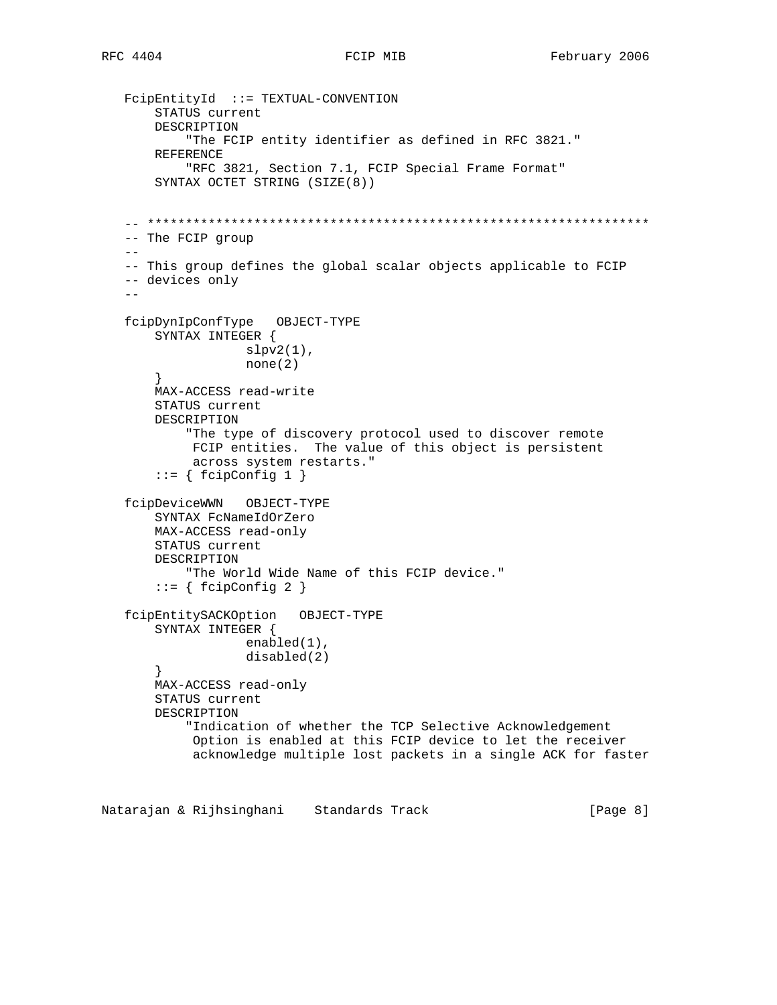```
 FcipEntityId ::= TEXTUAL-CONVENTION
       STATUS current
       DESCRIPTION
            "The FCIP entity identifier as defined in RFC 3821."
       REFERENCE
            "RFC 3821, Section 7.1, FCIP Special Frame Format"
       SYNTAX OCTET STRING (SIZE(8))
   -- ******************************************************************
   -- The FCIP group
   --
   -- This group defines the global scalar objects applicable to FCIP
   -- devices only
- fcipDynIpConfType OBJECT-TYPE
       SYNTAX INTEGER {
                  slpv2(1),
                   none(2)
        }
       MAX-ACCESS read-write
       STATUS current
       DESCRIPTION
            "The type of discovery protocol used to discover remote
            FCIP entities. The value of this object is persistent
            across system restarts."
       ::= \{ \text{fcipConfig 1} \} fcipDeviceWWN OBJECT-TYPE
       SYNTAX FcNameIdOrZero
       MAX-ACCESS read-only
       STATUS current
       DESCRIPTION
            "The World Wide Name of this FCIP device."
       ::= { fcipConfig 2 }
   fcipEntitySACKOption OBJECT-TYPE
       SYNTAX INTEGER {
                    enabled(1),
                    disabled(2)
        }
       MAX-ACCESS read-only
       STATUS current
       DESCRIPTION
            "Indication of whether the TCP Selective Acknowledgement
            Option is enabled at this FCIP device to let the receiver
            acknowledge multiple lost packets in a single ACK for faster
```
Natarajan & Rijhsinghani Standards Track Track [Page 8]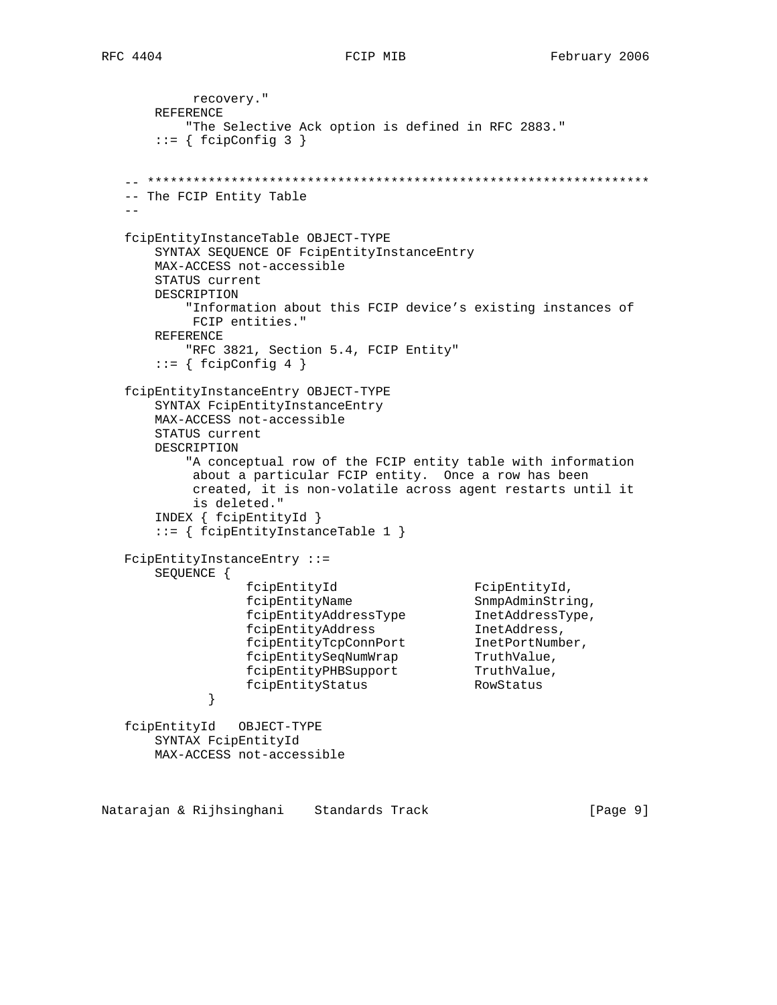recovery." REFERENCE "The Selective Ack option is defined in RFC 2883."  $::=$  { fcipConfig 3 } -- \*\*\*\*\*\*\*\*\*\*\*\*\*\*\*\*\*\*\*\*\*\*\*\*\*\*\*\*\*\*\*\*\*\*\*\*\*\*\*\*\*\*\*\*\*\*\*\*\*\*\*\*\*\*\*\*\*\*\*\*\*\*\*\*\*\* -- The FCIP Entity Table  $-$  fcipEntityInstanceTable OBJECT-TYPE SYNTAX SEQUENCE OF FcipEntityInstanceEntry MAX-ACCESS not-accessible STATUS current DESCRIPTION "Information about this FCIP device's existing instances of FCIP entities." REFERENCE "RFC 3821, Section 5.4, FCIP Entity"  $::= \{ \text{fcipConfig } 4 \}$  fcipEntityInstanceEntry OBJECT-TYPE SYNTAX FcipEntityInstanceEntry MAX-ACCESS not-accessible STATUS current DESCRIPTION "A conceptual row of the FCIP entity table with information about a particular FCIP entity. Once a row has been created, it is non-volatile across agent restarts until it is deleted." INDEX { fcipEntityId } ::= { fcipEntityInstanceTable 1 } FcipEntityInstanceEntry ::= SEQUENCE { fcipEntityId FcipEntityId, fcipEntityName SnmpAdminString, fcipEntityAddressType InetAddressType, fcipEntityAddress InetAddress, fcipEntityTcpConnPort InetPortNumber, fcipEntitySeqNumWrap TruthValue, fcipEntityPHBSupport TruthValue, fcipEntityStatus RowStatus } fcipEntityId OBJECT-TYPE SYNTAX FcipEntityId MAX-ACCESS not-accessible

Natarajan & Rijhsinghani Standards Track Track [Page 9]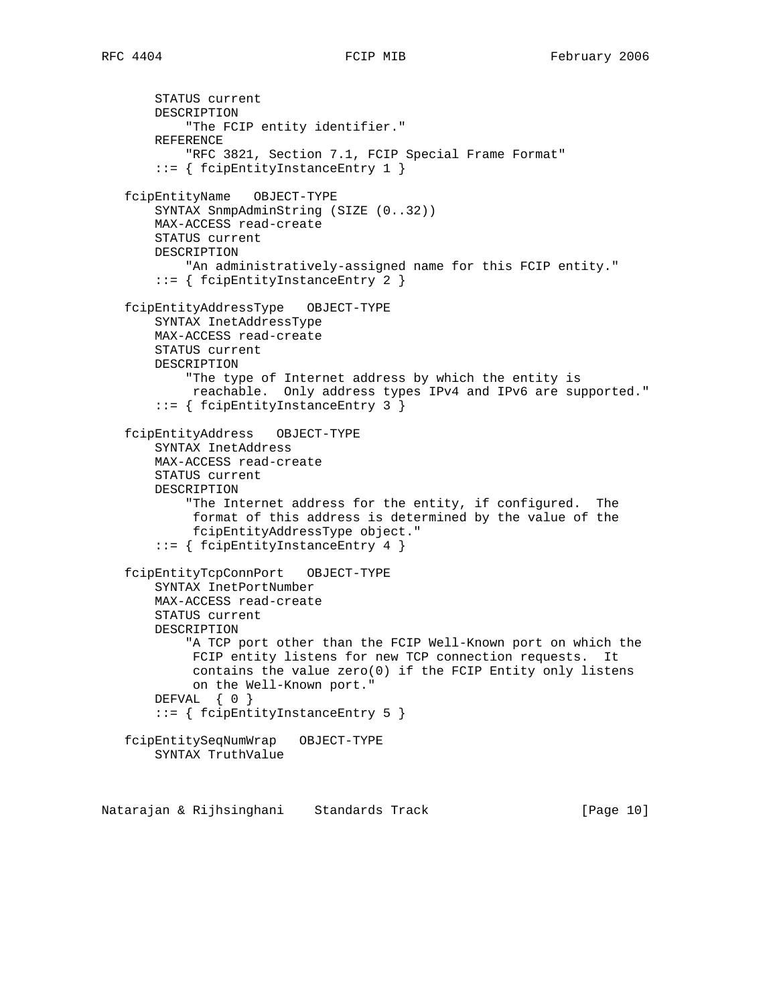STATUS current DESCRIPTION "The FCIP entity identifier." REFERENCE "RFC 3821, Section 7.1, FCIP Special Frame Format" ::= { fcipEntityInstanceEntry 1 } fcipEntityName OBJECT-TYPE SYNTAX SnmpAdminString (SIZE (0..32)) MAX-ACCESS read-create STATUS current DESCRIPTION "An administratively-assigned name for this FCIP entity." ::= { fcipEntityInstanceEntry 2 } fcipEntityAddressType OBJECT-TYPE SYNTAX InetAddressType MAX-ACCESS read-create STATUS current DESCRIPTION "The type of Internet address by which the entity is reachable. Only address types IPv4 and IPv6 are supported." ::= { fcipEntityInstanceEntry 3 } fcipEntityAddress OBJECT-TYPE SYNTAX InetAddress MAX-ACCESS read-create STATUS current DESCRIPTION "The Internet address for the entity, if configured. The format of this address is determined by the value of the fcipEntityAddressType object." ::= { fcipEntityInstanceEntry 4 } fcipEntityTcpConnPort OBJECT-TYPE SYNTAX InetPortNumber MAX-ACCESS read-create STATUS current DESCRIPTION "A TCP port other than the FCIP Well-Known port on which the FCIP entity listens for new TCP connection requests. It contains the value  $zero(0)$  if the FCIP Entity only listens on the Well-Known port." DEFVAL { 0 } ::= { fcipEntityInstanceEntry 5 } fcipEntitySeqNumWrap OBJECT-TYPE SYNTAX TruthValue

Natarajan & Rijhsinghani Standards Track [Page 10]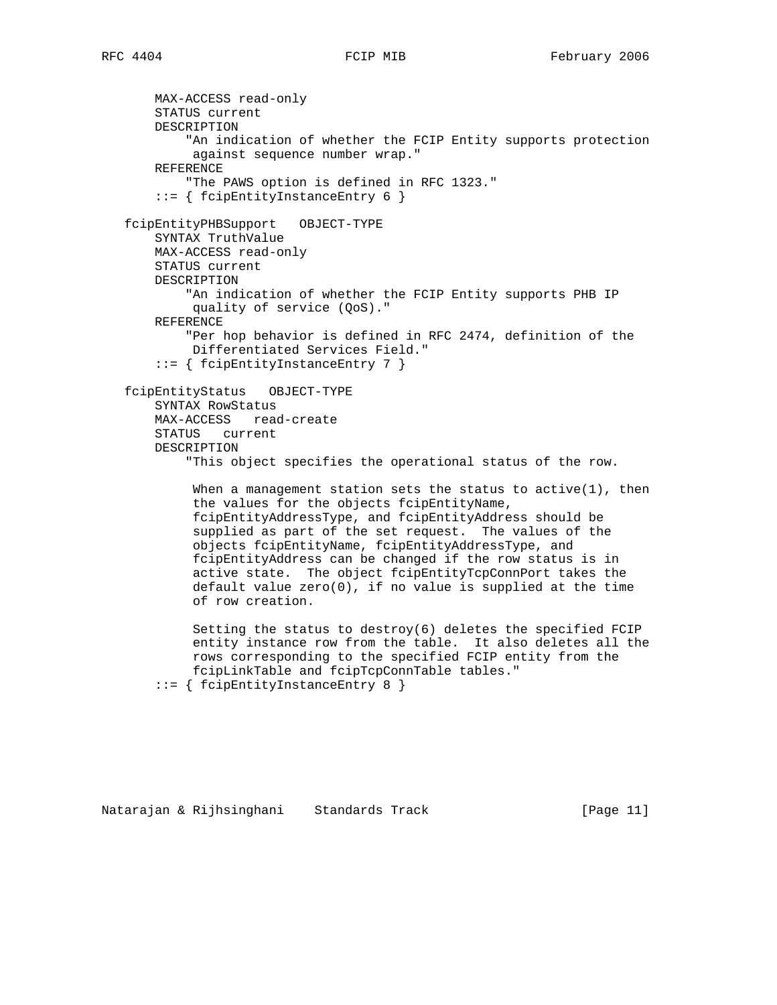MAX-ACCESS read-only STATUS current DESCRIPTION "An indication of whether the FCIP Entity supports protection against sequence number wrap." REFERENCE "The PAWS option is defined in RFC 1323." ::= { fcipEntityInstanceEntry 6 } fcipEntityPHBSupport OBJECT-TYPE SYNTAX TruthValue MAX-ACCESS read-only STATUS current DESCRIPTION "An indication of whether the FCIP Entity supports PHB IP quality of service (QoS)." REFERENCE "Per hop behavior is defined in RFC 2474, definition of the Differentiated Services Field." ::= { fcipEntityInstanceEntry 7 } fcipEntityStatus OBJECT-TYPE SYNTAX RowStatus MAX-ACCESS read-create STATUS current DESCRIPTION "This object specifies the operational status of the row. When a management station sets the status to active(1), then the values for the objects fcipEntityName, fcipEntityAddressType, and fcipEntityAddress should be supplied as part of the set request. The values of the objects fcipEntityName, fcipEntityAddressType, and fcipEntityAddress can be changed if the row status is in active state. The object fcipEntityTcpConnPort takes the default value zero(0), if no value is supplied at the time of row creation. Setting the status to destroy(6) deletes the specified FCIP entity instance row from the table. It also deletes all the rows corresponding to the specified FCIP entity from the fcipLinkTable and fcipTcpConnTable tables." ::= { fcipEntityInstanceEntry 8 }

Natarajan & Rijhsinghani Standards Track [Page 11]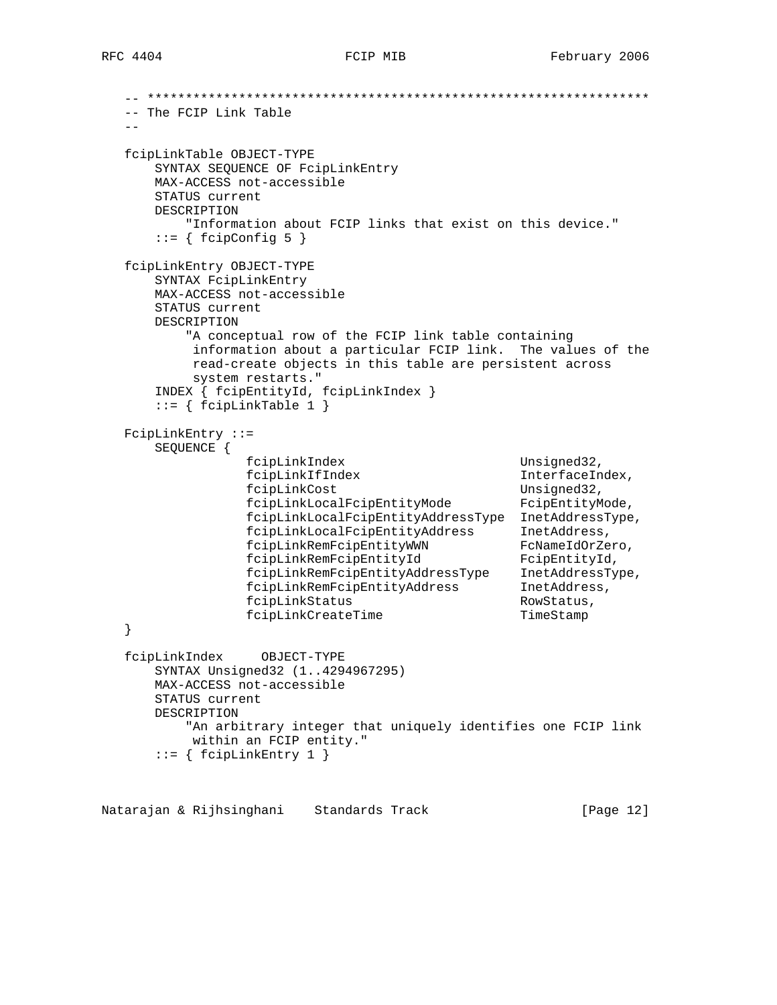```
 -- ******************************************************************
   -- The FCIP Link Table
  - fcipLinkTable OBJECT-TYPE
      SYNTAX SEQUENCE OF FcipLinkEntry
      MAX-ACCESS not-accessible
      STATUS current
      DESCRIPTION
          "Information about FCIP links that exist on this device."
     ::= \{ \text{fcipConfig 5 } \} fcipLinkEntry OBJECT-TYPE
      SYNTAX FcipLinkEntry
      MAX-ACCESS not-accessible
      STATUS current
      DESCRIPTION
          "A conceptual row of the FCIP link table containing
          information about a particular FCIP link. The values of the
          read-create objects in this table are persistent across
          system restarts."
      INDEX { fcipEntityId, fcipLinkIndex }
     ::= \{ \text{fcipLinkTable 1} \} FcipLinkEntry ::=
      SEQUENCE {
                 fcipLinkIndex Unsigned32,
                 fcipLinkIfIndex InterfaceIndex,
fcipLinkCost Unsigned32,
 fcipLinkLocalFcipEntityMode FcipEntityMode,
                 fcipLinkLocalFcipEntityAddressType InetAddressType,
 fcipLinkLocalFcipEntityAddress InetAddress,
 fcipLinkRemFcipEntityWWN FcNameIdOrZero,
 fcipLinkRemFcipEntityId FcipEntityId,
 fcipLinkRemFcipEntityAddressType InetAddressType,
 fcipLinkRemFcipEntityAddress InetAddress,
fcipLinkStatus and the RowStatus,
               fcipLinkCreateTime TimeStamp
   }
   fcipLinkIndex OBJECT-TYPE
      SYNTAX Unsigned32 (1..4294967295)
      MAX-ACCESS not-accessible
      STATUS current
      DESCRIPTION
          "An arbitrary integer that uniquely identifies one FCIP link
          within an FCIP entity."
      ::= { fcipLinkEntry 1 }
```
Natarajan & Rijhsinghani Standards Track (Page 12)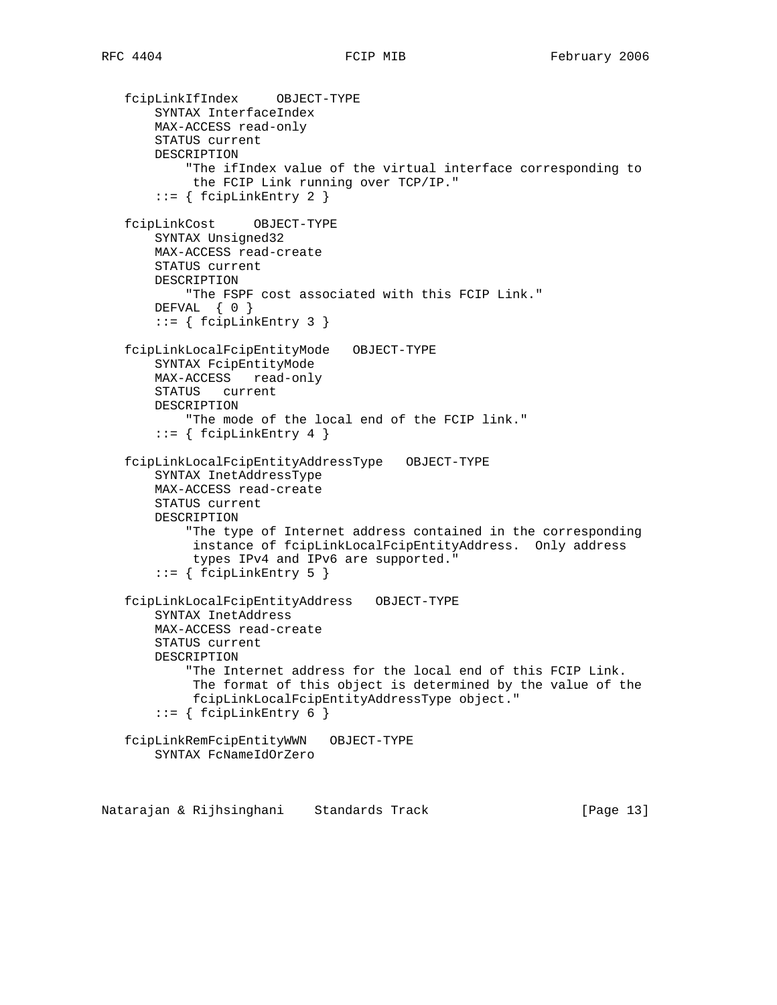```
 fcipLinkIfIndex OBJECT-TYPE
    SYNTAX InterfaceIndex
    MAX-ACCESS read-only
    STATUS current
    DESCRIPTION
         "The ifIndex value of the virtual interface corresponding to
         the FCIP Link running over TCP/IP."
     ::= { fcipLinkEntry 2 }
 fcipLinkCost OBJECT-TYPE
    SYNTAX Unsigned32
    MAX-ACCESS read-create
    STATUS current
    DESCRIPTION
        "The FSPF cost associated with this FCIP Link."
    DEFVAL { 0 }
     ::= { fcipLinkEntry 3 }
 fcipLinkLocalFcipEntityMode OBJECT-TYPE
    SYNTAX FcipEntityMode
    MAX-ACCESS read-only
    STATUS current
    DESCRIPTION
         "The mode of the local end of the FCIP link."
     ::= { fcipLinkEntry 4 }
 fcipLinkLocalFcipEntityAddressType OBJECT-TYPE
     SYNTAX InetAddressType
    MAX-ACCESS read-create
    STATUS current
    DESCRIPTION
         "The type of Internet address contained in the corresponding
         instance of fcipLinkLocalFcipEntityAddress. Only address
         types IPv4 and IPv6 are supported."
     ::= { fcipLinkEntry 5 }
 fcipLinkLocalFcipEntityAddress OBJECT-TYPE
    SYNTAX InetAddress
    MAX-ACCESS read-create
    STATUS current
    DESCRIPTION
         "The Internet address for the local end of this FCIP Link.
          The format of this object is determined by the value of the
         fcipLinkLocalFcipEntityAddressType object."
    ::= { fcipLinkEntry 6 }
 fcipLinkRemFcipEntityWWN OBJECT-TYPE
    SYNTAX FcNameIdOrZero
```
Natarajan & Rijhsinghani Standards Track [Page 13]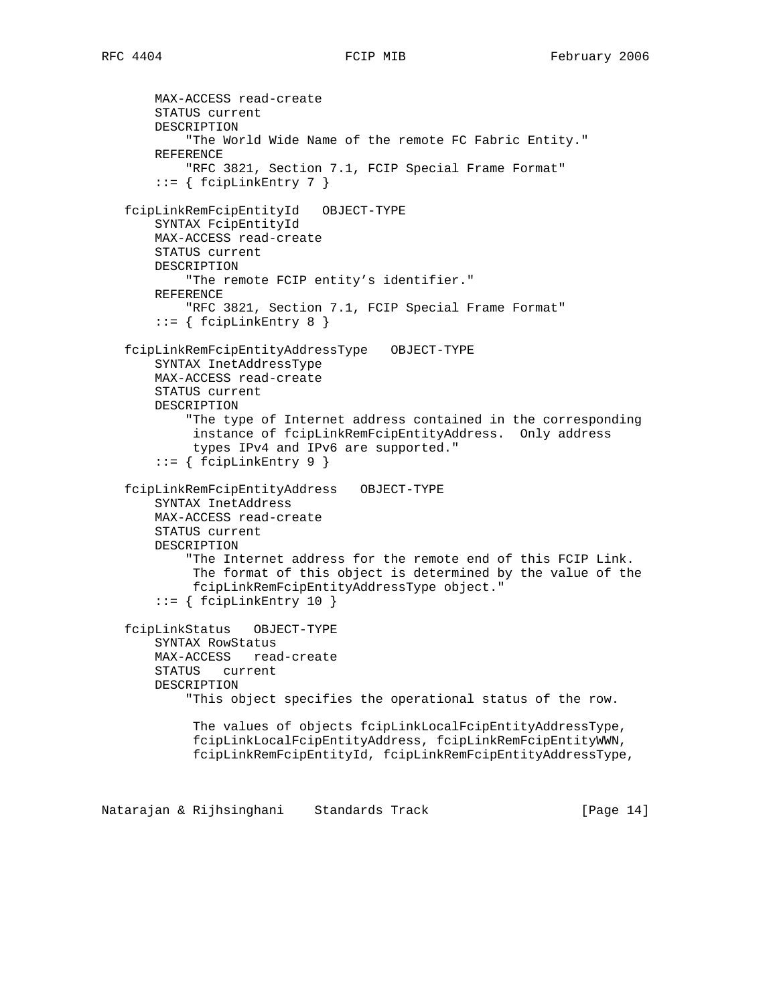MAX-ACCESS read-create STATUS current DESCRIPTION "The World Wide Name of the remote FC Fabric Entity." REFERENCE "RFC 3821, Section 7.1, FCIP Special Frame Format"  $::=$  { fcipLinkEntry 7 } fcipLinkRemFcipEntityId OBJECT-TYPE SYNTAX FcipEntityId MAX-ACCESS read-create STATUS current DESCRIPTION "The remote FCIP entity's identifier." REFERENCE "RFC 3821, Section 7.1, FCIP Special Frame Format"  $::=$  { fcipLinkEntry 8 } fcipLinkRemFcipEntityAddressType OBJECT-TYPE SYNTAX InetAddressType MAX-ACCESS read-create STATUS current DESCRIPTION "The type of Internet address contained in the corresponding instance of fcipLinkRemFcipEntityAddress. Only address types IPv4 and IPv6 are supported." ::= { fcipLinkEntry 9 } fcipLinkRemFcipEntityAddress OBJECT-TYPE SYNTAX InetAddress MAX-ACCESS read-create STATUS current DESCRIPTION "The Internet address for the remote end of this FCIP Link. The format of this object is determined by the value of the fcipLinkRemFcipEntityAddressType object." ::= { fcipLinkEntry 10 } fcipLinkStatus OBJECT-TYPE SYNTAX RowStatus MAX-ACCESS read-create STATUS current DESCRIPTION "This object specifies the operational status of the row. The values of objects fcipLinkLocalFcipEntityAddressType, fcipLinkLocalFcipEntityAddress, fcipLinkRemFcipEntityWWN, fcipLinkRemFcipEntityId, fcipLinkRemFcipEntityAddressType, Natarajan & Rijhsinghani Standards Track [Page 14]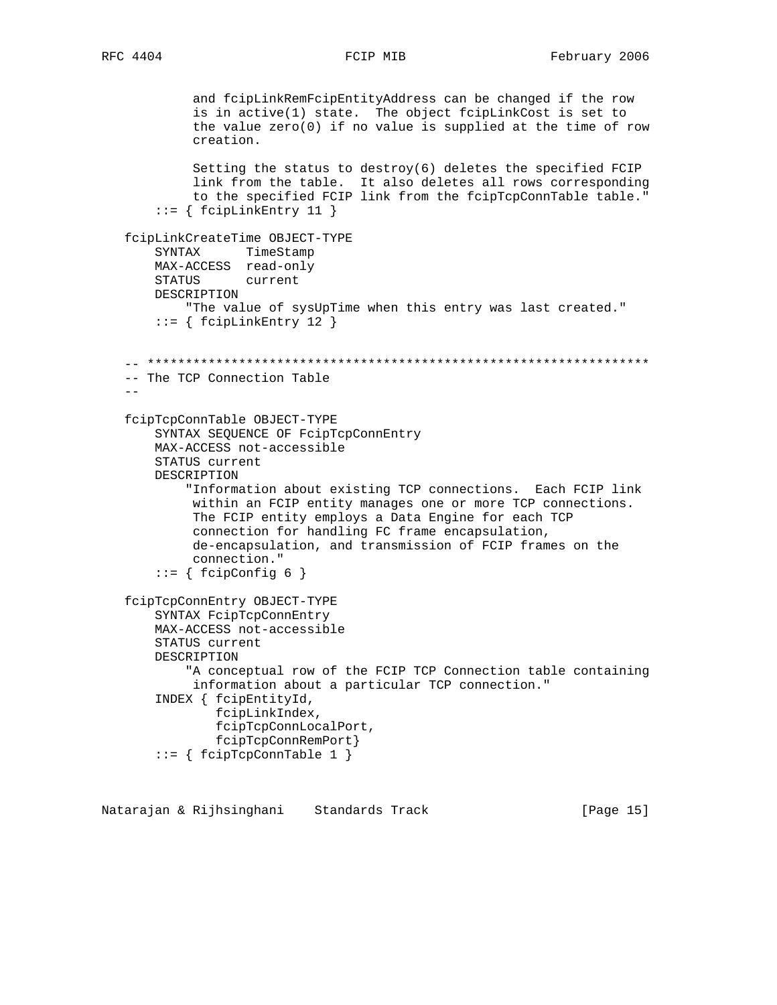```
 and fcipLinkRemFcipEntityAddress can be changed if the row
 is in active(1) state. The object fcipLinkCost is set to
 the value zero(0) if no value is supplied at the time of row
            creation.
            Setting the status to destroy(6) deletes the specified FCIP
            link from the table. It also deletes all rows corresponding
            to the specified FCIP link from the fcipTcpConnTable table."
       ::= { fcipLinkEntry 11 }
   fcipLinkCreateTime OBJECT-TYPE
       SYNTAX TimeStamp
       MAX-ACCESS read-only
       STATUS current
       DESCRIPTION
           "The value of sysUpTime when this entry was last created."
       ::= { fcipLinkEntry 12 }
   -- ******************************************************************
   -- The TCP Connection Table
  - fcipTcpConnTable OBJECT-TYPE
       SYNTAX SEQUENCE OF FcipTcpConnEntry
       MAX-ACCESS not-accessible
       STATUS current
       DESCRIPTION
            "Information about existing TCP connections. Each FCIP link
            within an FCIP entity manages one or more TCP connections.
            The FCIP entity employs a Data Engine for each TCP
            connection for handling FC frame encapsulation,
            de-encapsulation, and transmission of FCIP frames on the
            connection."
       ::= { fcipConfig 6 }
   fcipTcpConnEntry OBJECT-TYPE
       SYNTAX FcipTcpConnEntry
       MAX-ACCESS not-accessible
       STATUS current
       DESCRIPTION
            "A conceptual row of the FCIP TCP Connection table containing
            information about a particular TCP connection."
        INDEX { fcipEntityId,
               fcipLinkIndex,
               fcipTcpConnLocalPort,
               fcipTcpConnRemPort}
        ::= { fcipTcpConnTable 1 }
```
Natarajan & Rijhsinghani Standards Track [Page 15]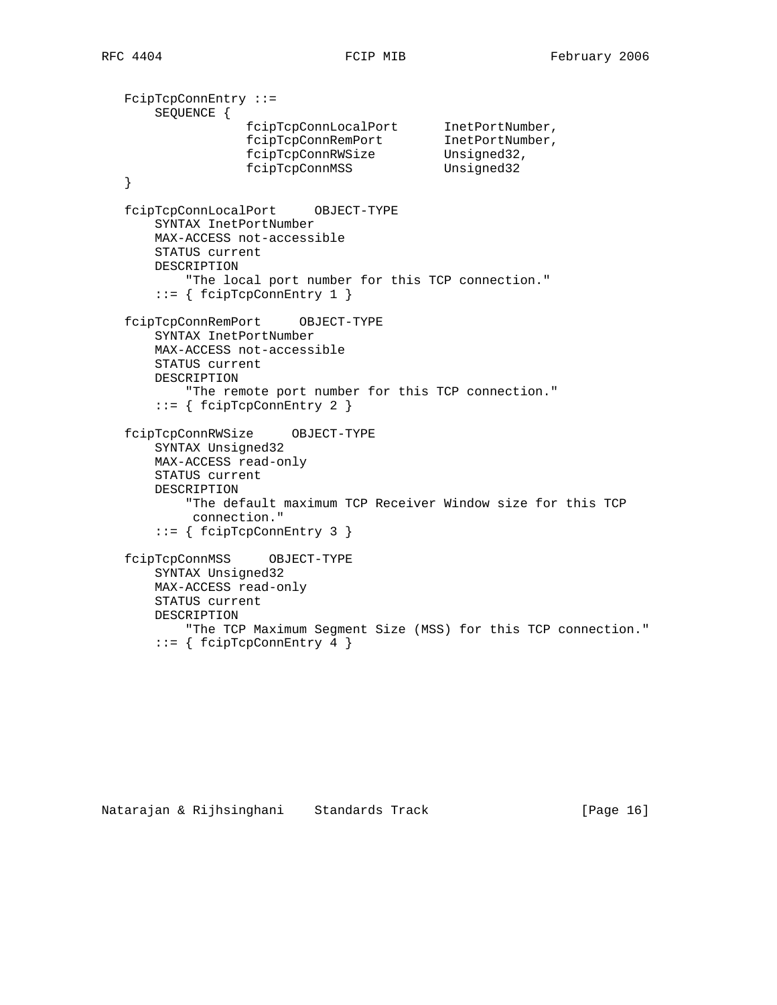FcipTcpConnEntry ::= SEQUENCE { fcipTcpConnLocalPort InetPortNumber, fcipTcpConnRemPort InetPortNumber, fcipTcpConnRWSize Unsigned32, fcipTcpConnRWSize Unsigned32<br>fcipTcpConnMSS Unsigned32 } fcipTcpConnLocalPort OBJECT-TYPE SYNTAX InetPortNumber MAX-ACCESS not-accessible STATUS current DESCRIPTION "The local port number for this TCP connection." ::= { fcipTcpConnEntry 1 } fcipTcpConnRemPort OBJECT-TYPE SYNTAX InetPortNumber MAX-ACCESS not-accessible STATUS current DESCRIPTION "The remote port number for this TCP connection." ::= { fcipTcpConnEntry 2 } fcipTcpConnRWSize OBJECT-TYPE SYNTAX Unsigned32 MAX-ACCESS read-only STATUS current DESCRIPTION "The default maximum TCP Receiver Window size for this TCP connection." ::= { fcipTcpConnEntry 3 } fcipTcpConnMSS OBJECT-TYPE SYNTAX Unsigned32 MAX-ACCESS read-only STATUS current DESCRIPTION "The TCP Maximum Segment Size (MSS) for this TCP connection." ::= { fcipTcpConnEntry 4 }

```
Natarajan & Rijhsinghani Standards Track [Page 16]
```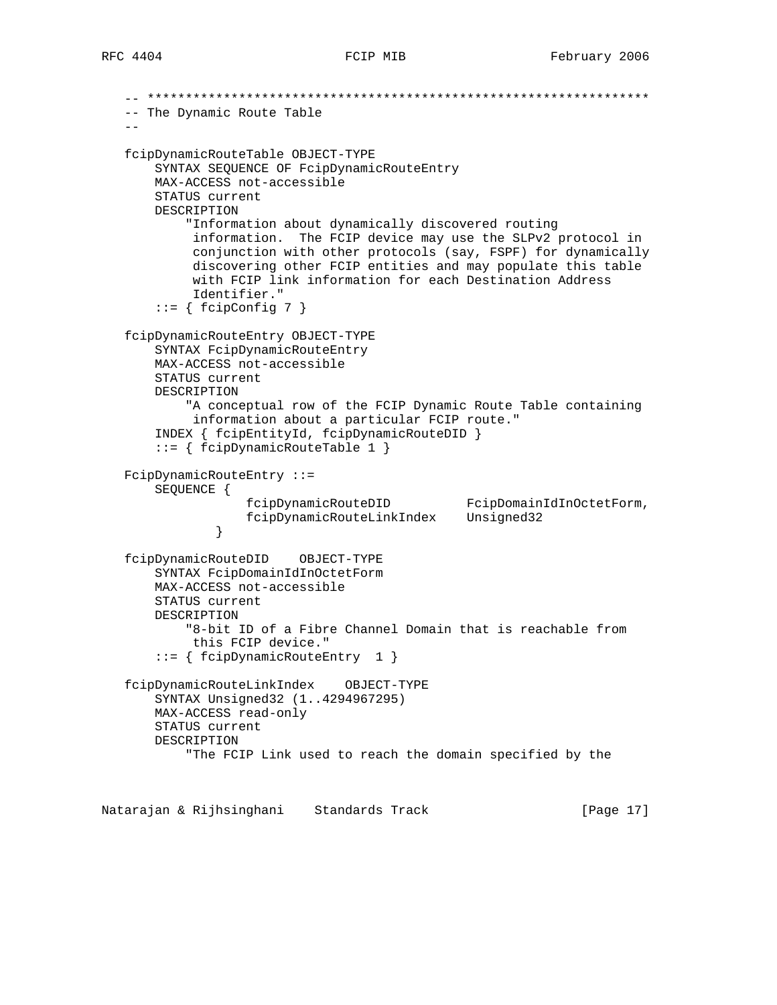-- \*\*\*\*\*\*\*\*\*\*\*\*\*\*\*\*\*\*\*\*\*\*\*\*\*\*\*\*\*\*\*\*\*\*\*\*\*\*\*\*\*\*\*\*\*\*\*\*\*\*\*\*\*\*\*\*\*\*\*\*\*\*\*\*\*\* -- The Dynamic Route Table  $$  fcipDynamicRouteTable OBJECT-TYPE SYNTAX SEQUENCE OF FcipDynamicRouteEntry MAX-ACCESS not-accessible STATUS current DESCRIPTION "Information about dynamically discovered routing information. The FCIP device may use the SLPv2 protocol in conjunction with other protocols (say, FSPF) for dynamically discovering other FCIP entities and may populate this table with FCIP link information for each Destination Address Identifier."  $::= \{ \text{fcipConfig 7 } \}$  fcipDynamicRouteEntry OBJECT-TYPE SYNTAX FcipDynamicRouteEntry MAX-ACCESS not-accessible STATUS current DESCRIPTION "A conceptual row of the FCIP Dynamic Route Table containing information about a particular FCIP route." INDEX { fcipEntityId, fcipDynamicRouteDID } ::= { fcipDynamicRouteTable 1 } FcipDynamicRouteEntry ::= SEQUENCE { fcipDynamicRouteDID FcipDomainIdInOctetForm, fcipDynamicRouteLinkIndex Unsigned32 } fcipDynamicRouteDID OBJECT-TYPE SYNTAX FcipDomainIdInOctetForm MAX-ACCESS not-accessible STATUS current DESCRIPTION "8-bit ID of a Fibre Channel Domain that is reachable from this FCIP device." ::= { fcipDynamicRouteEntry 1 } fcipDynamicRouteLinkIndex OBJECT-TYPE SYNTAX Unsigned32 (1..4294967295) MAX-ACCESS read-only STATUS current DESCRIPTION "The FCIP Link used to reach the domain specified by the

Natarajan & Rijhsinghani Standards Track [Page 17]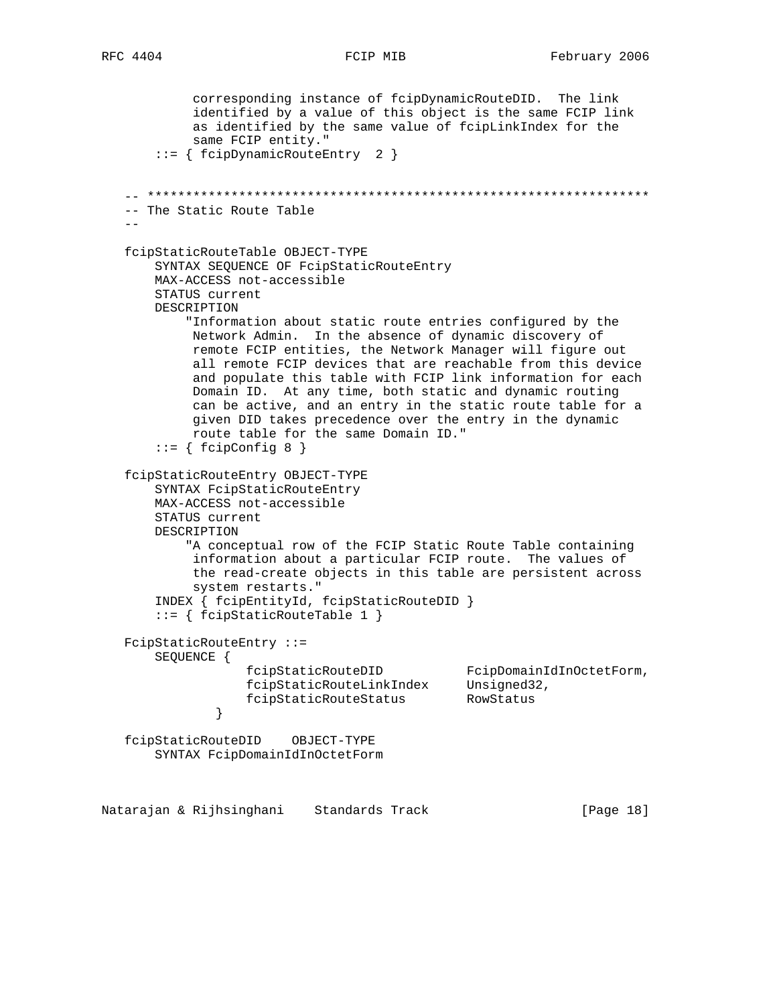corresponding instance of fcipDynamicRouteDID. The link identified by a value of this object is the same FCIP link as identified by the same value of fcipLinkIndex for the same FCIP entity." ::= { fcipDynamicRouteEntry 2 } -- \*\*\*\*\*\*\*\*\*\*\*\*\*\*\*\*\*\*\*\*\*\*\*\*\*\*\*\*\*\*\*\*\*\*\*\*\*\*\*\*\*\*\*\*\*\*\*\*\*\*\*\*\*\*\*\*\*\*\*\*\*\*\*\*\*\* -- The Static Route Table  $$  fcipStaticRouteTable OBJECT-TYPE SYNTAX SEQUENCE OF FcipStaticRouteEntry MAX-ACCESS not-accessible STATUS current DESCRIPTION "Information about static route entries configured by the Network Admin. In the absence of dynamic discovery of remote FCIP entities, the Network Manager will figure out all remote FCIP devices that are reachable from this device and populate this table with FCIP link information for each Domain ID. At any time, both static and dynamic routing can be active, and an entry in the static route table for a given DID takes precedence over the entry in the dynamic route table for the same Domain ID."  $::=$  { fcipConfig 8 } fcipStaticRouteEntry OBJECT-TYPE SYNTAX FcipStaticRouteEntry MAX-ACCESS not-accessible STATUS current DESCRIPTION "A conceptual row of the FCIP Static Route Table containing information about a particular FCIP route. The values of the read-create objects in this table are persistent across system restarts." INDEX { fcipEntityId, fcipStaticRouteDID } ::= { fcipStaticRouteTable 1 } FcipStaticRouteEntry ::= SEQUENCE { fcipStaticRouteDID FcipDomainIdInOctetForm, fcipStaticRouteLinkIndex Unsigned32, fcipStaticRouteStatus RowStatus } fcipStaticRouteDID OBJECT-TYPE SYNTAX FcipDomainIdInOctetForm

Natarajan & Rijhsinghani Standards Track [Page 18]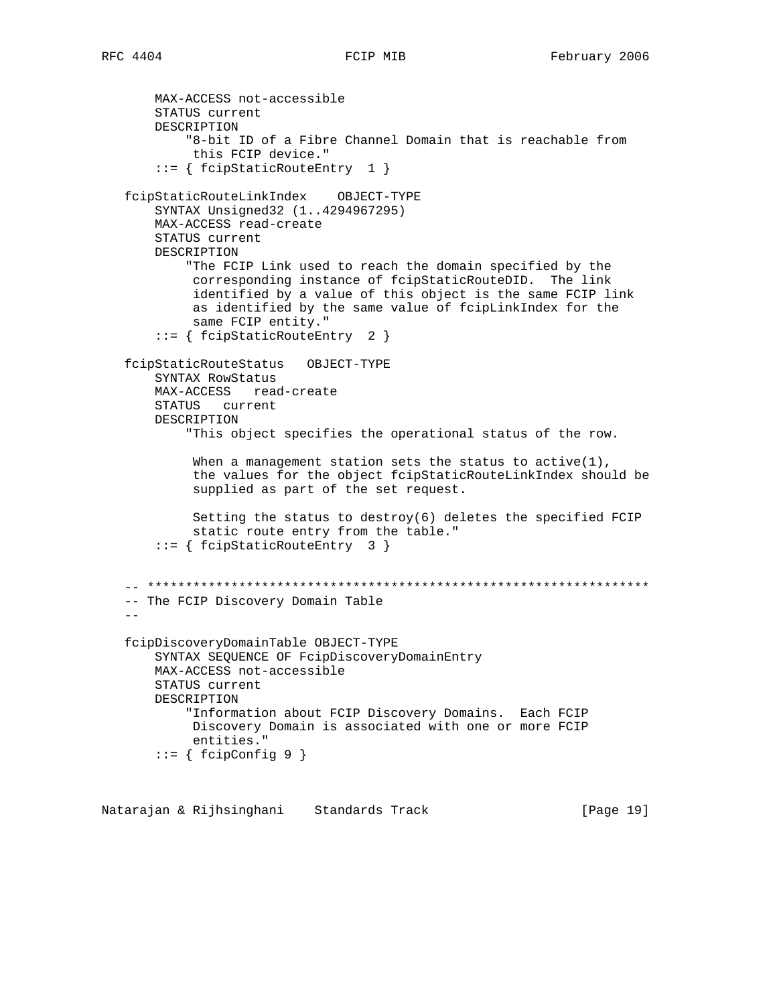MAX-ACCESS not-accessible STATUS current DESCRIPTION "8-bit ID of a Fibre Channel Domain that is reachable from this FCIP device." ::= { fcipStaticRouteEntry 1 } fcipStaticRouteLinkIndex OBJECT-TYPE SYNTAX Unsigned32 (1..4294967295) MAX-ACCESS read-create STATUS current DESCRIPTION "The FCIP Link used to reach the domain specified by the corresponding instance of fcipStaticRouteDID. The link identified by a value of this object is the same FCIP link as identified by the same value of fcipLinkIndex for the same FCIP entity." ::= { fcipStaticRouteEntry 2 } fcipStaticRouteStatus OBJECT-TYPE SYNTAX RowStatus MAX-ACCESS read-create STATUS current DESCRIPTION "This object specifies the operational status of the row. When a management station sets the status to active(1), the values for the object fcipStaticRouteLinkIndex should be supplied as part of the set request. Setting the status to destroy(6) deletes the specified FCIP static route entry from the table." ::= { fcipStaticRouteEntry 3 } -- \*\*\*\*\*\*\*\*\*\*\*\*\*\*\*\*\*\*\*\*\*\*\*\*\*\*\*\*\*\*\*\*\*\*\*\*\*\*\*\*\*\*\*\*\*\*\*\*\*\*\*\*\*\*\*\*\*\*\*\*\*\*\*\*\*\* -- The FCIP Discovery Domain Table - fcipDiscoveryDomainTable OBJECT-TYPE SYNTAX SEQUENCE OF FcipDiscoveryDomainEntry MAX-ACCESS not-accessible STATUS current DESCRIPTION "Information about FCIP Discovery Domains. Each FCIP Discovery Domain is associated with one or more FCIP entities." ::= { fcipConfig 9 }

Natarajan & Rijhsinghani Standards Track [Page 19]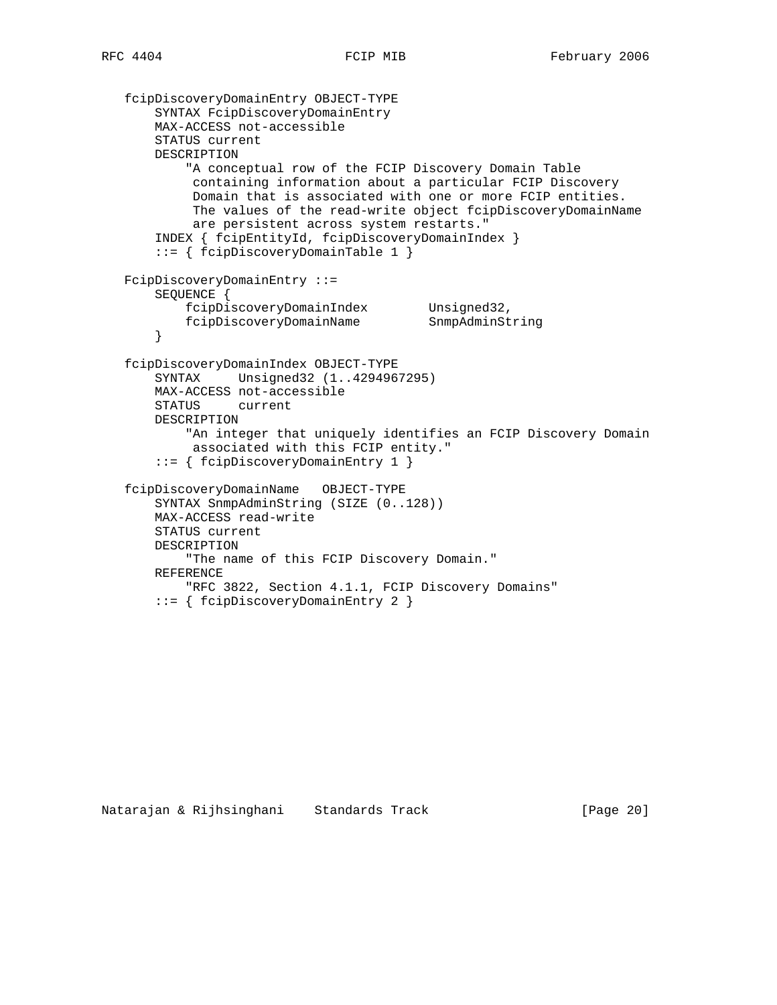```
 fcipDiscoveryDomainEntry OBJECT-TYPE
       SYNTAX FcipDiscoveryDomainEntry
       MAX-ACCESS not-accessible
       STATUS current
       DESCRIPTION
            "A conceptual row of the FCIP Discovery Domain Table
            containing information about a particular FCIP Discovery
            Domain that is associated with one or more FCIP entities.
            The values of the read-write object fcipDiscoveryDomainName
            are persistent across system restarts."
       INDEX { fcipEntityId, fcipDiscoveryDomainIndex }
       ::= { fcipDiscoveryDomainTable 1 }
   FcipDiscoveryDomainEntry ::=
       SEQUENCE {
 fcipDiscoveryDomainIndex Unsigned32,
 fcipDiscoveryDomainName SnmpAdminString
       }
   fcipDiscoveryDomainIndex OBJECT-TYPE
       SYNTAX Unsigned32 (1..4294967295)
       MAX-ACCESS not-accessible
       STATUS current
       DESCRIPTION
            "An integer that uniquely identifies an FCIP Discovery Domain
            associated with this FCIP entity."
       ::= { fcipDiscoveryDomainEntry 1 }
   fcipDiscoveryDomainName OBJECT-TYPE
       SYNTAX SnmpAdminString (SIZE (0..128))
       MAX-ACCESS read-write
       STATUS current
       DESCRIPTION
           "The name of this FCIP Discovery Domain."
       REFERENCE
           "RFC 3822, Section 4.1.1, FCIP Discovery Domains"
       ::= { fcipDiscoveryDomainEntry 2 }
```

```
Natarajan & Rijhsinghani Standards Track [Page 20]
```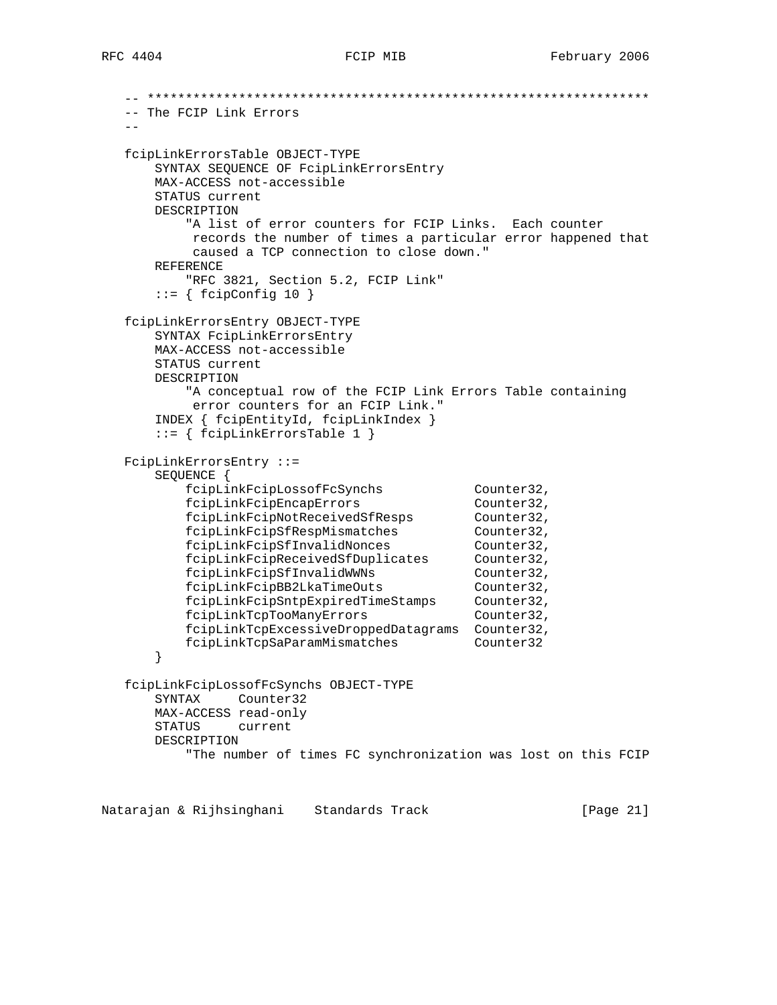```
 -- ******************************************************************
   -- The FCIP Link Errors
- fcipLinkErrorsTable OBJECT-TYPE
       SYNTAX SEQUENCE OF FcipLinkErrorsEntry
      MAX-ACCESS not-accessible
      STATUS current
      DESCRIPTION
          "A list of error counters for FCIP Links. Each counter
          records the number of times a particular error happened that
           caused a TCP connection to close down."
      REFERENCE
          "RFC 3821, Section 5.2, FCIP Link"
      ::= { fcipConfig 10 }
   fcipLinkErrorsEntry OBJECT-TYPE
       SYNTAX FcipLinkErrorsEntry
      MAX-ACCESS not-accessible
      STATUS current
      DESCRIPTION
          "A conceptual row of the FCIP Link Errors Table containing
          error counters for an FCIP Link."
       INDEX { fcipEntityId, fcipLinkIndex }
       ::= { fcipLinkErrorsTable 1 }
   FcipLinkErrorsEntry ::=
       SEQUENCE {
 fcipLinkFcipLossofFcSynchs Counter32,
 fcipLinkFcipEncapErrors Counter32,
 fcipLinkFcipNotReceivedSfResps Counter32,
fcipLinkFcipSfRespMismatches Counter32,
fcipLinkFcipSfInvalidNonces Counter32,
 fcipLinkFcipReceivedSfDuplicates Counter32,
 fcipLinkFcipSfInvalidWWNs Counter32,
 fcipLinkFcipBB2LkaTimeOuts Counter32,
 fcipLinkFcipSntpExpiredTimeStamps Counter32,
fcipLinkTcpTooManyErrors Counter32,
          fcipLinkTcpExcessiveDroppedDatagrams Counter32,
          fcipLinkTcpSaParamMismatches Counter32
       }
   fcipLinkFcipLossofFcSynchs OBJECT-TYPE
      SYNTAX Counter32
      MAX-ACCESS read-only
      STATUS current
      DESCRIPTION
          "The number of times FC synchronization was lost on this FCIP
```
Natarajan & Rijhsinghani Standards Track [Page 21]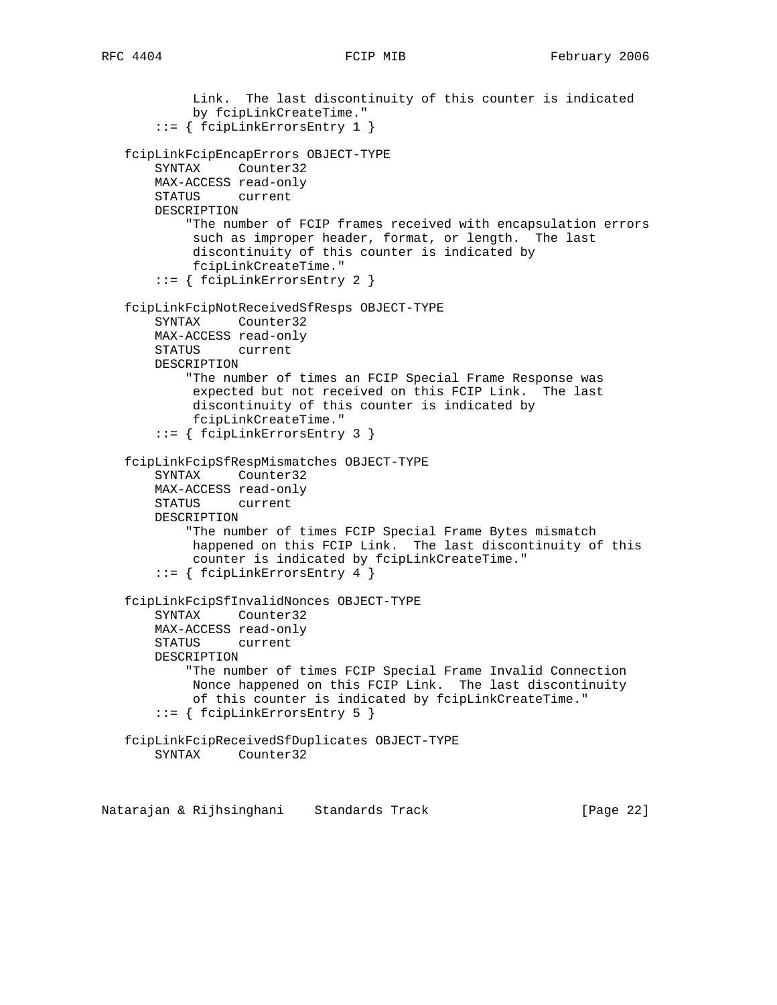```
 Link. The last discontinuity of this counter is indicated
         by fcipLinkCreateTime."
     ::= { fcipLinkErrorsEntry 1 }
 fcipLinkFcipEncapErrors OBJECT-TYPE
    SYNTAX Counter32
    MAX-ACCESS read-only
    STATUS current
    DESCRIPTION
         "The number of FCIP frames received with encapsulation errors
         such as improper header, format, or length. The last
         discontinuity of this counter is indicated by
         fcipLinkCreateTime."
     ::= { fcipLinkErrorsEntry 2 }
 fcipLinkFcipNotReceivedSfResps OBJECT-TYPE
    SYNTAX Counter32
    MAX-ACCESS read-only
    STATUS current
    DESCRIPTION
         "The number of times an FCIP Special Frame Response was
         expected but not received on this FCIP Link. The last
         discontinuity of this counter is indicated by
         fcipLinkCreateTime."
     ::= { fcipLinkErrorsEntry 3 }
 fcipLinkFcipSfRespMismatches OBJECT-TYPE
     SYNTAX Counter32
    MAX-ACCESS read-only
    STATUS current
    DESCRIPTION
         "The number of times FCIP Special Frame Bytes mismatch
         happened on this FCIP Link. The last discontinuity of this
         counter is indicated by fcipLinkCreateTime."
     ::= { fcipLinkErrorsEntry 4 }
 fcipLinkFcipSfInvalidNonces OBJECT-TYPE
     SYNTAX Counter32
    MAX-ACCESS read-only
    STATUS current
    DESCRIPTION
         "The number of times FCIP Special Frame Invalid Connection
         Nonce happened on this FCIP Link. The last discontinuity
         of this counter is indicated by fcipLinkCreateTime."
     ::= { fcipLinkErrorsEntry 5 }
 fcipLinkFcipReceivedSfDuplicates OBJECT-TYPE
    SYNTAX Counter32
```
Natarajan & Rijhsinghani Standards Track [Page 22]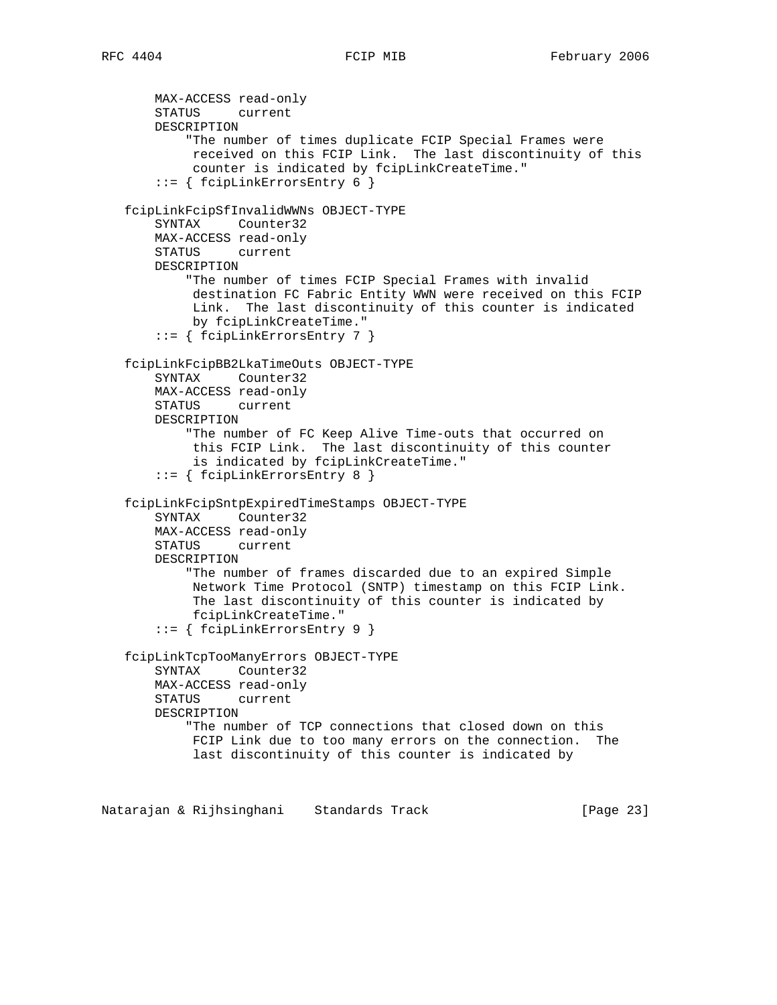```
 MAX-ACCESS read-only
    STATUS current
    DESCRIPTION
         "The number of times duplicate FCIP Special Frames were
         received on this FCIP Link. The last discontinuity of this
         counter is indicated by fcipLinkCreateTime."
     ::= { fcipLinkErrorsEntry 6 }
 fcipLinkFcipSfInvalidWWNs OBJECT-TYPE
     SYNTAX Counter32
    MAX-ACCESS read-only
    STATUS current
    DESCRIPTION
         "The number of times FCIP Special Frames with invalid
         destination FC Fabric Entity WWN were received on this FCIP
         Link. The last discontinuity of this counter is indicated
         by fcipLinkCreateTime."
     ::= { fcipLinkErrorsEntry 7 }
 fcipLinkFcipBB2LkaTimeOuts OBJECT-TYPE
    SYNTAX Counter32
    MAX-ACCESS read-only
    STATUS current
    DESCRIPTION
         "The number of FC Keep Alive Time-outs that occurred on
         this FCIP Link. The last discontinuity of this counter
         is indicated by fcipLinkCreateTime."
     ::= { fcipLinkErrorsEntry 8 }
 fcipLinkFcipSntpExpiredTimeStamps OBJECT-TYPE
    SYNTAX Counter32
    MAX-ACCESS read-only
    STATUS current
    DESCRIPTION
         "The number of frames discarded due to an expired Simple
         Network Time Protocol (SNTP) timestamp on this FCIP Link.
         The last discontinuity of this counter is indicated by
         fcipLinkCreateTime."
     ::= { fcipLinkErrorsEntry 9 }
 fcipLinkTcpTooManyErrors OBJECT-TYPE
    SYNTAX Counter32
    MAX-ACCESS read-only
    STATUS current
    DESCRIPTION
         "The number of TCP connections that closed down on this
         FCIP Link due to too many errors on the connection. The
         last discontinuity of this counter is indicated by
```
Natarajan & Rijhsinghani Standards Track [Page 23]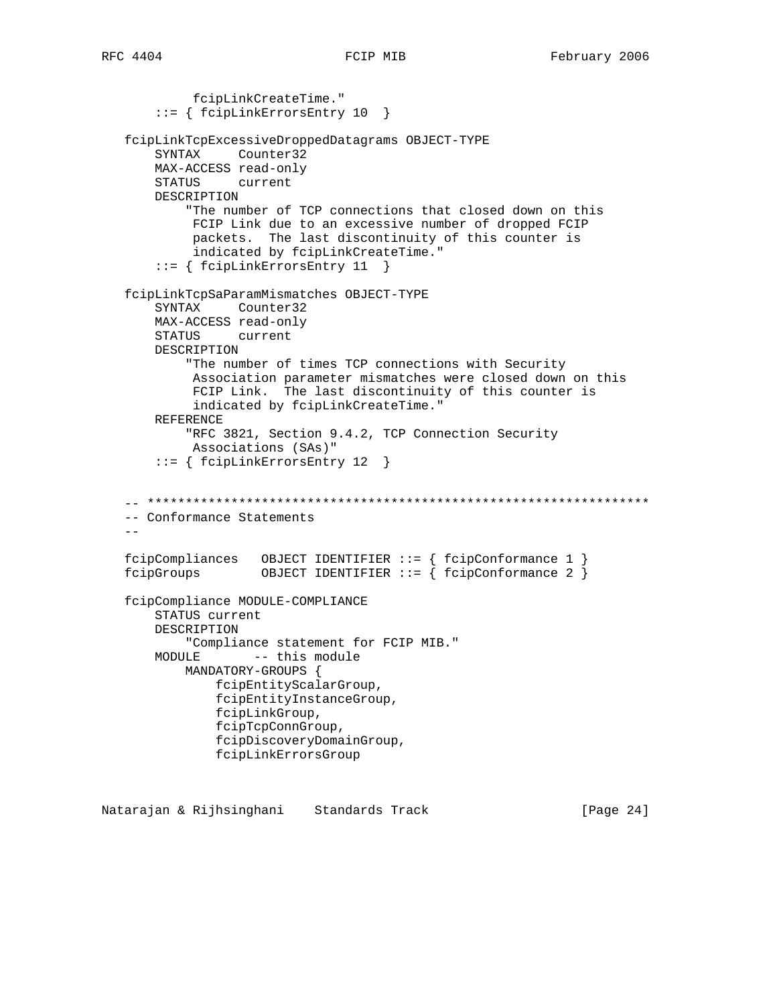```
 fcipLinkCreateTime."
     ::= { fcipLinkErrorsEntry 10 }
 fcipLinkTcpExcessiveDroppedDatagrams OBJECT-TYPE
     SYNTAX Counter32
    MAX-ACCESS read-only
    STATUS current
    DESCRIPTION
         "The number of TCP connections that closed down on this
         FCIP Link due to an excessive number of dropped FCIP
         packets. The last discontinuity of this counter is
         indicated by fcipLinkCreateTime."
     ::= { fcipLinkErrorsEntry 11 }
 fcipLinkTcpSaParamMismatches OBJECT-TYPE
     SYNTAX Counter32
    MAX-ACCESS read-only
    STATUS current
    DESCRIPTION
         "The number of times TCP connections with Security
         Association parameter mismatches were closed down on this
         FCIP Link. The last discontinuity of this counter is
         indicated by fcipLinkCreateTime."
    REFERENCE
         "RFC 3821, Section 9.4.2, TCP Connection Security
         Associations (SAs)"
     ::= { fcipLinkErrorsEntry 12 }
 -- ******************************************************************
 -- Conformance Statements
- - fcipCompliances OBJECT IDENTIFIER ::= { fcipConformance 1 }
 fcipGroups OBJECT IDENTIFIER ::= { fcipConformance 2 }
 fcipCompliance MODULE-COMPLIANCE
    STATUS current
    DESCRIPTION
         "Compliance statement for FCIP MIB."
   MODULE -- this module
        MANDATORY-GROUPS {
            fcipEntityScalarGroup,
             fcipEntityInstanceGroup,
             fcipLinkGroup,
             fcipTcpConnGroup,
             fcipDiscoveryDomainGroup,
             fcipLinkErrorsGroup
```
Natarajan & Rijhsinghani Standards Track [Page 24]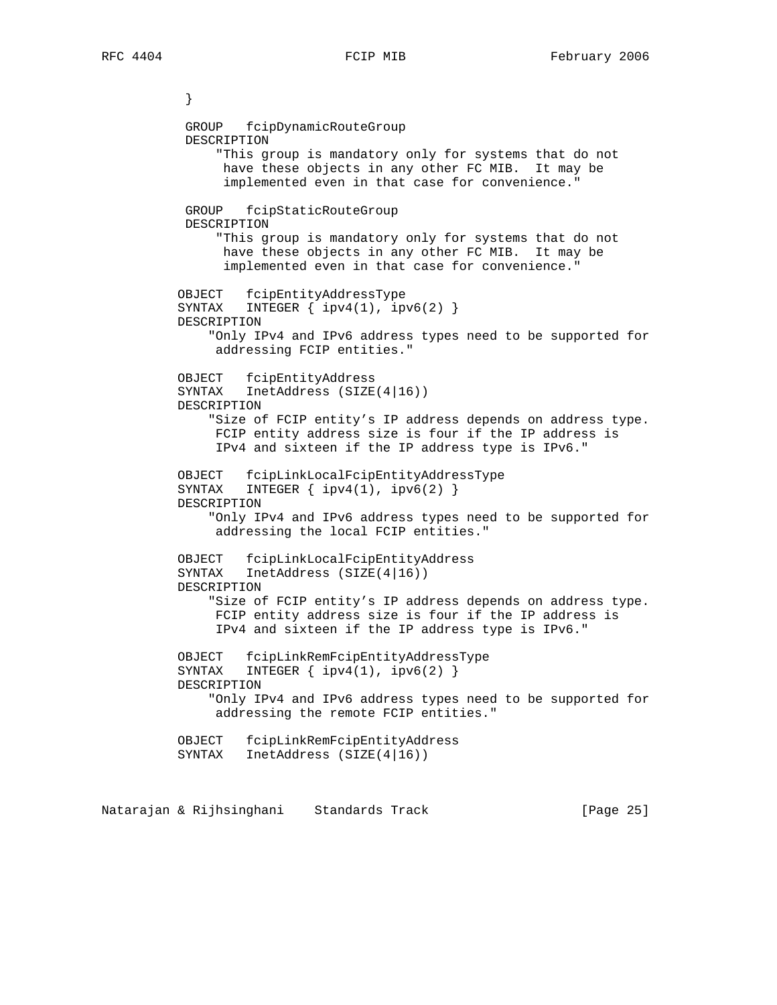} GROUP fcipDynamicRouteGroup DESCRIPTION "This group is mandatory only for systems that do not have these objects in any other FC MIB. It may be implemented even in that case for convenience." GROUP fcipStaticRouteGroup DESCRIPTION "This group is mandatory only for systems that do not have these objects in any other FC MIB. It may be implemented even in that case for convenience." OBJECT fcipEntityAddressType SYNTAX INTEGER { ipv4(1), ipv6(2) } DESCRIPTION "Only IPv4 and IPv6 address types need to be supported for addressing FCIP entities." OBJECT fcipEntityAddress SYNTAX InetAddress (SIZE(4|16)) DESCRIPTION "Size of FCIP entity's IP address depends on address type. FCIP entity address size is four if the IP address is IPv4 and sixteen if the IP address type is IPv6." OBJECT fcipLinkLocalFcipEntityAddressType SYNTAX INTEGER  $\{ \text{ipv4}(1), \text{ipv6}(2) \}$  DESCRIPTION "Only IPv4 and IPv6 address types need to be supported for addressing the local FCIP entities." OBJECT fcipLinkLocalFcipEntityAddress SYNTAX InetAddress (SIZE(4|16)) DESCRIPTION "Size of FCIP entity's IP address depends on address type. FCIP entity address size is four if the IP address is IPv4 and sixteen if the IP address type is IPv6." OBJECT fcipLinkRemFcipEntityAddressType SYNTAX INTEGER  $\{ \text{ipv4}(1), \text{ipv6}(2) \}$  DESCRIPTION "Only IPv4 and IPv6 address types need to be supported for addressing the remote FCIP entities." OBJECT fcipLinkRemFcipEntityAddress SYNTAX InetAddress (SIZE(4|16))

Natarajan & Rijhsinghani Standards Track [Page 25]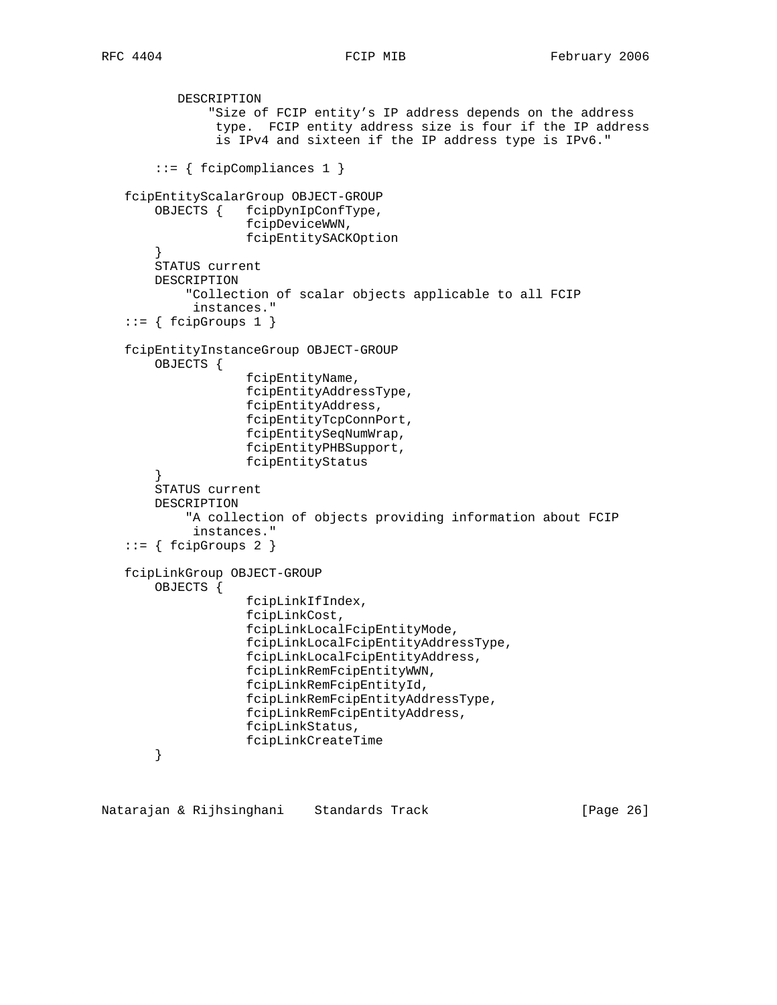```
 DESCRIPTION
               "Size of FCIP entity's IP address depends on the address
                type. FCIP entity address size is four if the IP address
                is IPv4 and sixteen if the IP address type is IPv6."
        ::= { fcipCompliances 1 }
   fcipEntityScalarGroup OBJECT-GROUP
        OBJECTS { fcipDynIpConfType,
                    fcipDeviceWWN,
                    fcipEntitySACKOption
        }
        STATUS current
        DESCRIPTION
            "Collection of scalar objects applicable to all FCIP
             instances."
   ::= \{ \text{fcipGroups 1 } \} fcipEntityInstanceGroup OBJECT-GROUP
        OBJECTS {
                     fcipEntityName,
                     fcipEntityAddressType,
                     fcipEntityAddress,
                     fcipEntityTcpConnPort,
                     fcipEntitySeqNumWrap,
                     fcipEntityPHBSupport,
                    fcipEntityStatus
 }
        STATUS current
        DESCRIPTION
            "A collection of objects providing information about FCIP
             instances."
   ::= { fcipGroups 2 }
   fcipLinkGroup OBJECT-GROUP
        OBJECTS {
                     fcipLinkIfIndex,
                     fcipLinkCost,
                     fcipLinkLocalFcipEntityMode,
                     fcipLinkLocalFcipEntityAddressType,
                     fcipLinkLocalFcipEntityAddress,
                     fcipLinkRemFcipEntityWWN,
                    fcipLinkRemFcipEntityId,
                     fcipLinkRemFcipEntityAddressType,
                     fcipLinkRemFcipEntityAddress,
                     fcipLinkStatus,
                     fcipLinkCreateTime
        }
```
Natarajan & Rijhsinghani Standards Track [Page 26]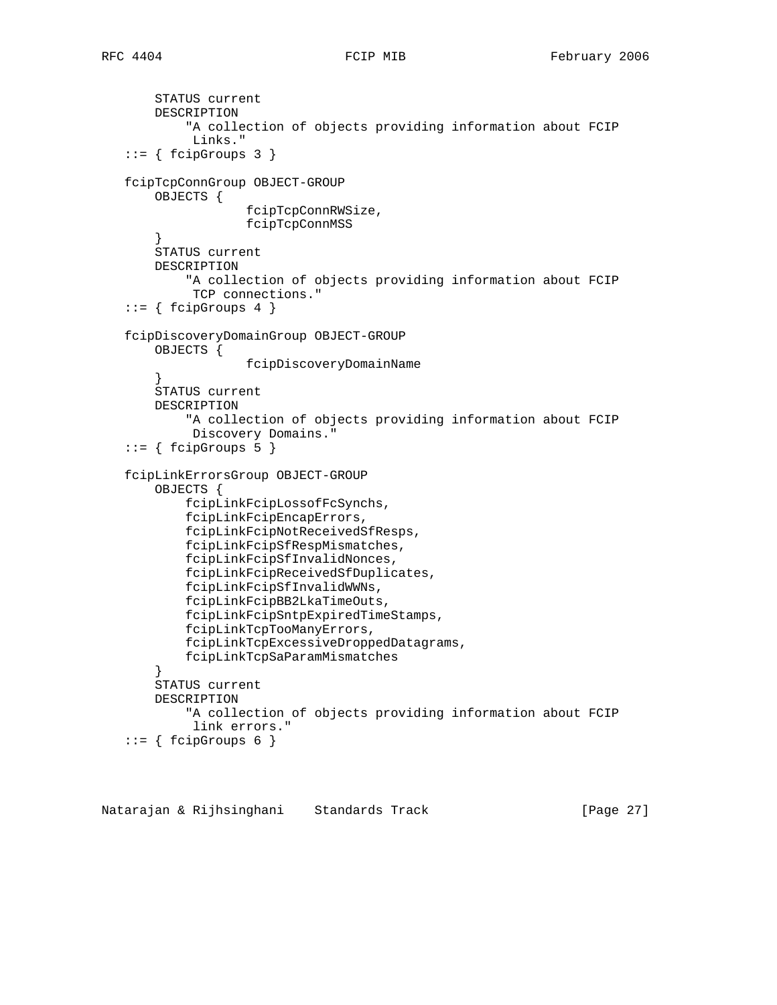```
 STATUS current
        DESCRIPTION
            "A collection of objects providing information about FCIP
             Links."
   ::= { fcipGroups 3 }
   fcipTcpConnGroup OBJECT-GROUP
        OBJECTS {
                     fcipTcpConnRWSize,
                     fcipTcpConnMSS
        }
       STATUS current
        DESCRIPTION
            "A collection of objects providing information about FCIP
             TCP connections."
   ::= { fcipGroups 4 }
   fcipDiscoveryDomainGroup OBJECT-GROUP
        OBJECTS {
                    fcipDiscoveryDomainName
 }
        STATUS current
        DESCRIPTION
            "A collection of objects providing information about FCIP
             Discovery Domains."
   ::= { fcipGroups 5 }
   fcipLinkErrorsGroup OBJECT-GROUP
        OBJECTS {
            fcipLinkFcipLossofFcSynchs,
            fcipLinkFcipEncapErrors,
            fcipLinkFcipNotReceivedSfResps,
            fcipLinkFcipSfRespMismatches,
            fcipLinkFcipSfInvalidNonces,
            fcipLinkFcipReceivedSfDuplicates,
            fcipLinkFcipSfInvalidWWNs,
            fcipLinkFcipBB2LkaTimeOuts,
            fcipLinkFcipSntpExpiredTimeStamps,
            fcipLinkTcpTooManyErrors,
            fcipLinkTcpExcessiveDroppedDatagrams,
            fcipLinkTcpSaParamMismatches
        }
        STATUS current
        DESCRIPTION
            "A collection of objects providing information about FCIP
             link errors."
   ::= \{ \text{fcipGroups 6 } \}
```
Natarajan & Rijhsinghani Standards Track [Page 27]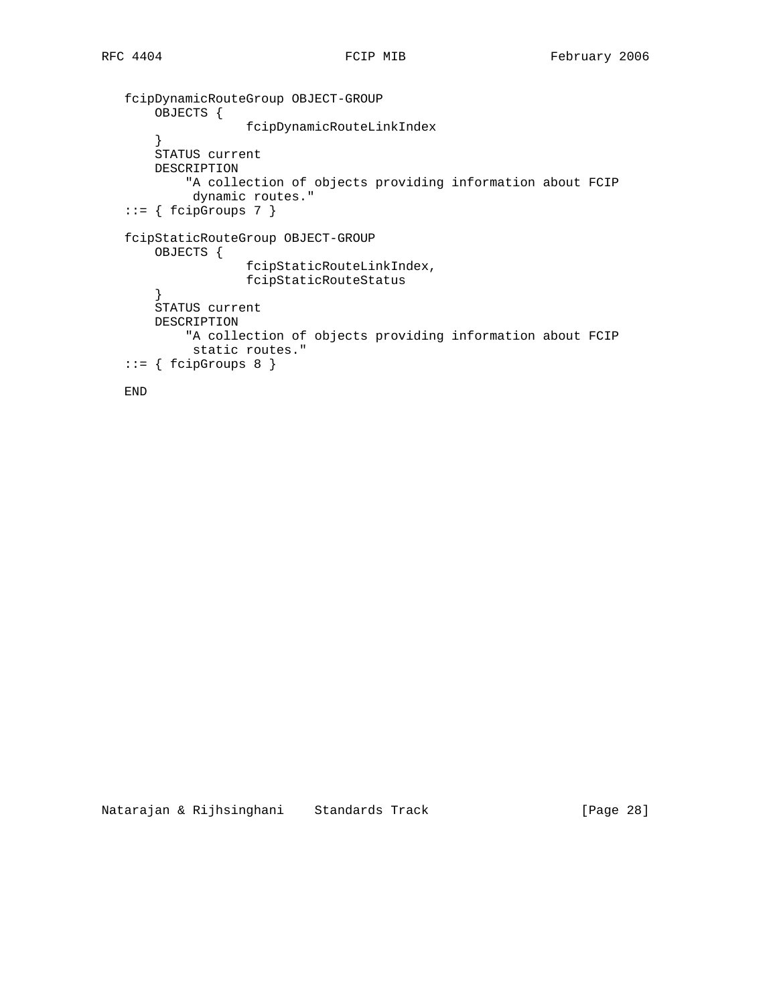```
 fcipDynamicRouteGroup OBJECT-GROUP
    OBJECTS {
                 fcipDynamicRouteLinkIndex
     }
    STATUS current
    DESCRIPTION
         "A collection of objects providing information about FCIP
         dynamic routes."
::= { fcipGroups 7 }
 fcipStaticRouteGroup OBJECT-GROUP
    OBJECTS {
                 fcipStaticRouteLinkIndex,
                 fcipStaticRouteStatus
     }
    STATUS current
    DESCRIPTION
         "A collection of objects providing information about FCIP
         static routes."
::= { fcipGroups 8 }
```

```
 END
```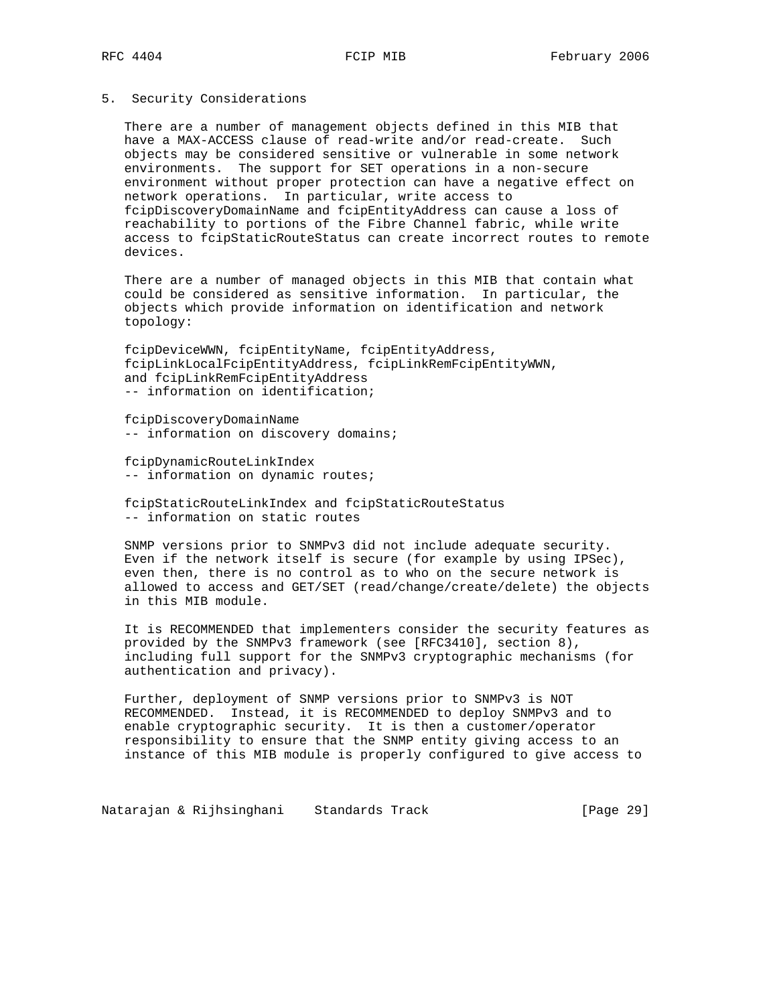## 5. Security Considerations

 There are a number of management objects defined in this MIB that have a MAX-ACCESS clause of read-write and/or read-create. Such objects may be considered sensitive or vulnerable in some network environments. The support for SET operations in a non-secure environment without proper protection can have a negative effect on network operations. In particular, write access to fcipDiscoveryDomainName and fcipEntityAddress can cause a loss of reachability to portions of the Fibre Channel fabric, while write access to fcipStaticRouteStatus can create incorrect routes to remote devices.

 There are a number of managed objects in this MIB that contain what could be considered as sensitive information. In particular, the objects which provide information on identification and network topology:

 fcipDeviceWWN, fcipEntityName, fcipEntityAddress, fcipLinkLocalFcipEntityAddress, fcipLinkRemFcipEntityWWN, and fcipLinkRemFcipEntityAddress -- information on identification;

 fcipDiscoveryDomainName -- information on discovery domains;

 fcipDynamicRouteLinkIndex -- information on dynamic routes;

 fcipStaticRouteLinkIndex and fcipStaticRouteStatus -- information on static routes

 SNMP versions prior to SNMPv3 did not include adequate security. Even if the network itself is secure (for example by using IPSec), even then, there is no control as to who on the secure network is allowed to access and GET/SET (read/change/create/delete) the objects in this MIB module.

 It is RECOMMENDED that implementers consider the security features as provided by the SNMPv3 framework (see [RFC3410], section 8), including full support for the SNMPv3 cryptographic mechanisms (for authentication and privacy).

 Further, deployment of SNMP versions prior to SNMPv3 is NOT RECOMMENDED. Instead, it is RECOMMENDED to deploy SNMPv3 and to enable cryptographic security. It is then a customer/operator responsibility to ensure that the SNMP entity giving access to an instance of this MIB module is properly configured to give access to

Natarajan & Rijhsinghani Standards Track (Page 29)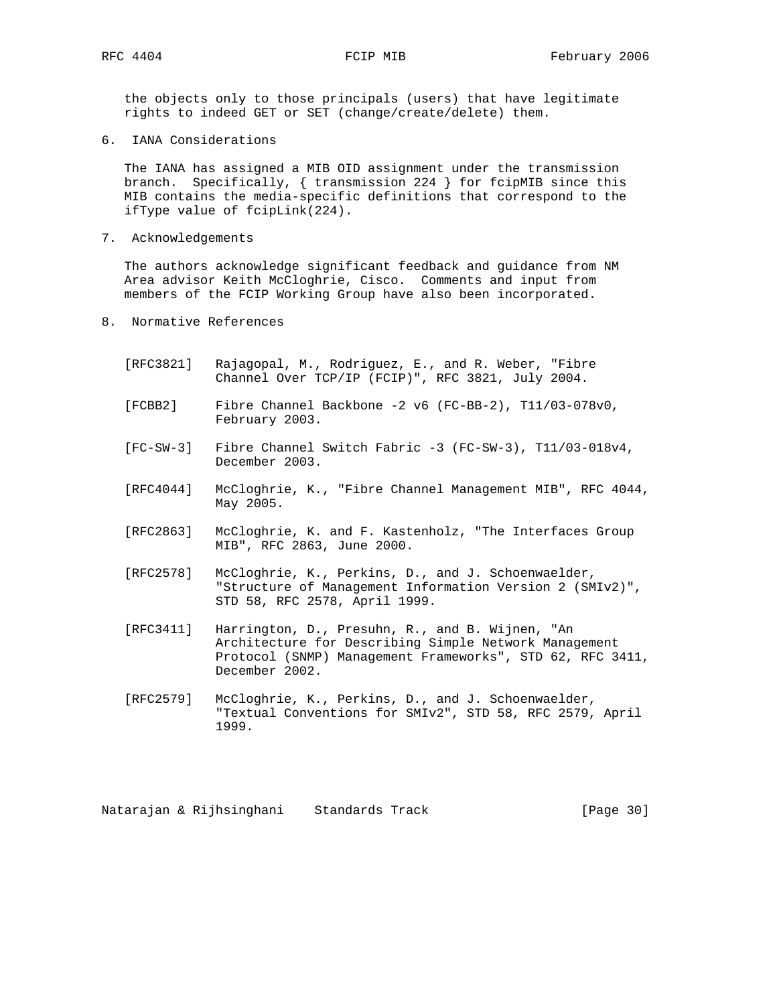the objects only to those principals (users) that have legitimate rights to indeed GET or SET (change/create/delete) them.

6. IANA Considerations

 The IANA has assigned a MIB OID assignment under the transmission branch. Specifically, { transmission 224 } for fcipMIB since this MIB contains the media-specific definitions that correspond to the ifType value of fcipLink(224).

7. Acknowledgements

 The authors acknowledge significant feedback and guidance from NM Area advisor Keith McCloghrie, Cisco. Comments and input from members of the FCIP Working Group have also been incorporated.

- 8. Normative References
	- [RFC3821] Rajagopal, M., Rodriguez, E., and R. Weber, "Fibre Channel Over TCP/IP (FCIP)", RFC 3821, July 2004.
	- [FCBB2] Fibre Channel Backbone -2 v6 (FC-BB-2), T11/03-078v0, February 2003.
	- [FC-SW-3] Fibre Channel Switch Fabric -3 (FC-SW-3), T11/03-018v4, December 2003.
	- [RFC4044] McCloghrie, K., "Fibre Channel Management MIB", RFC 4044, May 2005.
	- [RFC2863] McCloghrie, K. and F. Kastenholz, "The Interfaces Group MIB", RFC 2863, June 2000.
	- [RFC2578] McCloghrie, K., Perkins, D., and J. Schoenwaelder, "Structure of Management Information Version 2 (SMIv2)", STD 58, RFC 2578, April 1999.
	- [RFC3411] Harrington, D., Presuhn, R., and B. Wijnen, "An Architecture for Describing Simple Network Management Protocol (SNMP) Management Frameworks", STD 62, RFC 3411, December 2002.
	- [RFC2579] McCloghrie, K., Perkins, D., and J. Schoenwaelder, "Textual Conventions for SMIv2", STD 58, RFC 2579, April 1999.

Natarajan & Rijhsinghani Standards Track [Page 30]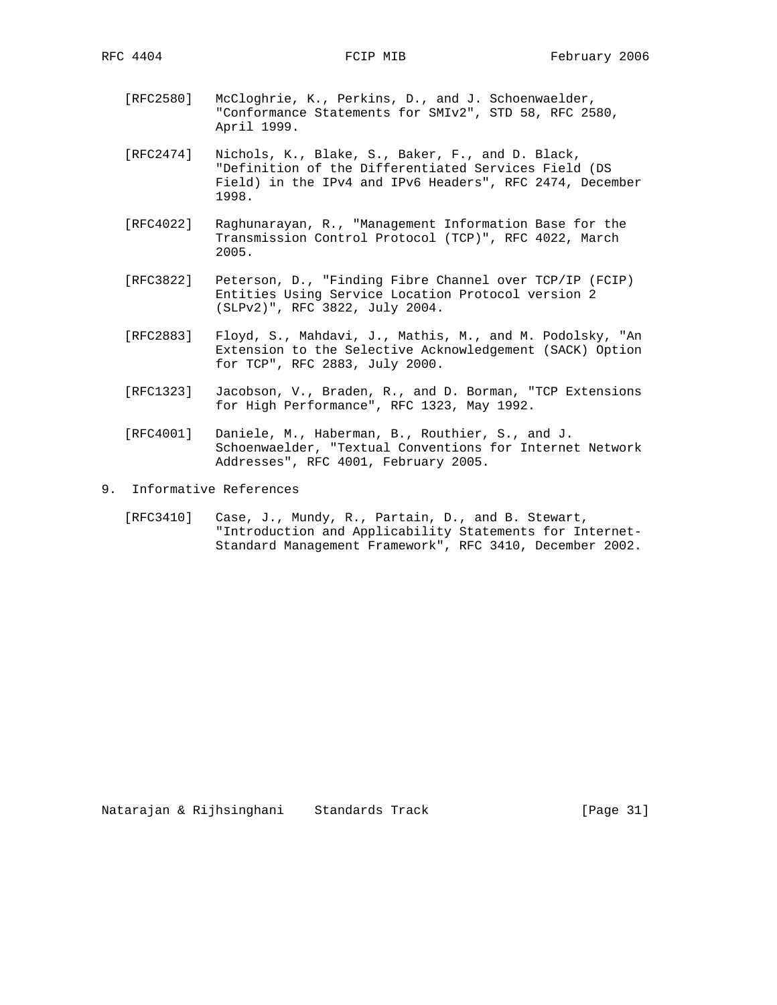- [RFC2580] McCloghrie, K., Perkins, D., and J. Schoenwaelder, "Conformance Statements for SMIv2", STD 58, RFC 2580, April 1999.
- [RFC2474] Nichols, K., Blake, S., Baker, F., and D. Black, "Definition of the Differentiated Services Field (DS Field) in the IPv4 and IPv6 Headers", RFC 2474, December 1998.
- [RFC4022] Raghunarayan, R., "Management Information Base for the Transmission Control Protocol (TCP)", RFC 4022, March 2005.
- [RFC3822] Peterson, D., "Finding Fibre Channel over TCP/IP (FCIP) Entities Using Service Location Protocol version 2 (SLPv2)", RFC 3822, July 2004.
- [RFC2883] Floyd, S., Mahdavi, J., Mathis, M., and M. Podolsky, "An Extension to the Selective Acknowledgement (SACK) Option for TCP", RFC 2883, July 2000.
- [RFC1323] Jacobson, V., Braden, R., and D. Borman, "TCP Extensions for High Performance", RFC 1323, May 1992.
- [RFC4001] Daniele, M., Haberman, B., Routhier, S., and J. Schoenwaelder, "Textual Conventions for Internet Network Addresses", RFC 4001, February 2005.
- 9. Informative References
	- [RFC3410] Case, J., Mundy, R., Partain, D., and B. Stewart, "Introduction and Applicability Statements for Internet- Standard Management Framework", RFC 3410, December 2002.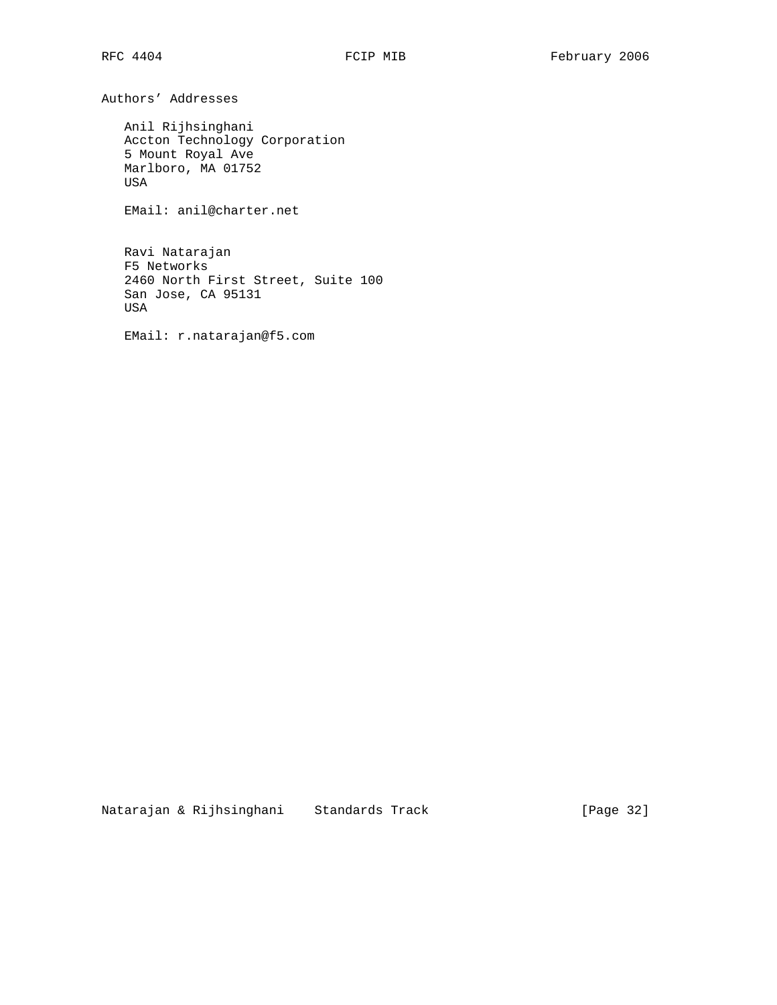Authors' Addresses

 Anil Rijhsinghani Accton Technology Corporation 5 Mount Royal Ave Marlboro, MA 01752 USA

EMail: anil@charter.net

 Ravi Natarajan F5 Networks 2460 North First Street, Suite 100 San Jose, CA 95131 USA

EMail: r.natarajan@f5.com